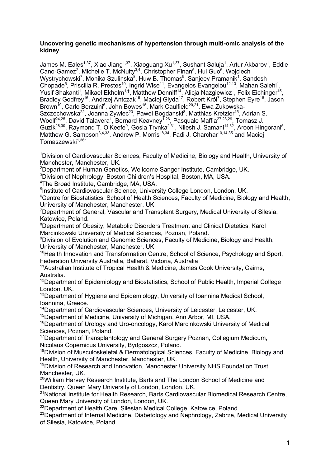### **Uncovering genetic mechanisms of hypertension through multi-omic analysis of the kidney**

James M. Eales $^{1,37}$ , Xiao Jiang $^{1,37}$ , Xiaoguang Xu $^{1,37}$ , Sushant Saluja $^1$ , Artur Akbarov $^1$ , Eddie Cano-Gamez<sup>2</sup>, Michelle T. McNulty<sup>3,4</sup>, Christopher Finan<sup>5</sup>, Hui Guo<sup>6</sup>, Wojciech Wystrychowski<sup>7</sup>, Monika Szulinska<sup>8</sup>, Huw B. Thomas<sup>9</sup>, Sanjeev Pramanik<sup>1</sup>, Sandesh Chopade<sup>5</sup>, Priscilla R. Prestes<sup>10</sup>, Ingrid Wise<sup>11</sup>, Evangelos Evangelou<sup>12,13</sup>, Mahan Salehi<sup>1</sup>, Yusif Shakanti<sup>1</sup>, Mikael Ekholm<sup>1,†</sup>, Matthew Denniff<sup>14</sup>, Alicja Nazgiewicz<sup>1</sup>, Felix Eichinger<sup>15</sup>, Bradley Godfrey<sup>16</sup>, Andrzej Antczak<sup>16</sup>, Maciej Glyda<sup>17</sup>, Robert Król<sup>7</sup>, Stephen Eyre<sup>18</sup>, Jason Brown<sup>19</sup>, Carlo Berzuini<sup>6</sup>, John Bowes<sup>18</sup>, Mark Caulfield<sup>20,21</sup>, Ewa Zukowska-Szczechowska<sup>22</sup>, Joanna Zywiec<sup>23</sup>, Pawel Bogdanski<sup>8</sup>, Matthias Kretzler<sup>15</sup>, Adrian S. Woolf<sup>24,25</sup>, David Talavera<sup>1</sup>, Bernard Keavney<sup>1,26</sup>, Pasquale Maffia<sup>27,28,29</sup>, Tomasz J. Guzik<sup>28,30</sup>, Raymond T. O'Keefe<sup>9</sup>, Gosia Trynka<sup>2,31</sup>, Nilesh J. Samani<sup>14,32</sup>, Aroon Hingorani<sup>5</sup>, Matthew G. Sampson<sup>3,4,33</sup>, Andrew P. Morris<sup>18,34</sup>, Fadi J. Charchar<sup>10,14,35</sup> and Maciej  $Tomaszewski<sup>1,36*</sup>$ 

<sup>1</sup>Division of Cardiovascular Sciences, Faculty of Medicine, Biology and Health, University of Manchester, Manchester, UK.

 $^{2}$ Department of Human Genetics, Wellcome Sanger Institute, Cambridge, UK.

 ${}^{3}$ Division of Nephrology, Boston Children's Hospital, Boston, MA, USA.

4 The Broad Institute, Cambridge, MA, USA.

<sup>5</sup>Institute of Cardiovascular Science, University College London, London, UK.

<sup>6</sup>Centre for Biostatistics, School of Health Sciences, Faculty of Medicine, Biology and Health, University of Manchester, Manchester, UK.

<sup>7</sup>Department of General, Vascular and Transplant Surgery, Medical University of Silesia, Katowice, Poland.

<sup>8</sup>Department of Obesity, Metabolic Disorders Treatment and Clinical Dietetics, Karol Marcinkowski University of Medical Sciences, Poznan, Poland.

<sup>9</sup> Division of Evolution and Genomic Sciences, Faculty of Medicine, Biology and Health, University of Manchester, Manchester, UK.

<sup>10</sup>Health Innovation and Transformation Centre, School of Science, Psychology and Sport, Federation University Australia, Ballarat, Victoria, Australia

<sup>11</sup> Australian Institute of Tropical Health & Medicine, James Cook University, Cairns, Australia.

<sup>12</sup>Department of Epidemiology and Biostatistics, School of Public Health, Imperial College London, UK.

<sup>13</sup>Department of Hygiene and Epidemiology, University of Ioannina Medical School, Ioannina, Greece.

<sup>14</sup>Department of Cardiovascular Sciences, University of Leicester, Leicester, UK.

<sup>15</sup>Department of Medicine, University of Michigan, Ann Arbor, MI, USA.

<sup>16</sup>Department of Urology and Uro-oncology, Karol Marcinkowski University of Medical Sciences, Poznan, Poland.

<sup>17</sup> Department of Transplantology and General Surgery Poznan, Collegium Medicum, Nicolaus Copernicus University, Bydgoszcz, Poland.

<sup>18</sup>Division of Musculoskeletal & Dermatological Sciences, Faculty of Medicine, Biology and Health, University of Manchester, Manchester, UK.

<sup>19</sup>Division of Research and Innovation, Manchester University NHS Foundation Trust, Manchester, UK.

 $20$ William Harvey Research Institute, Barts and The London School of Medicine and Dentistry, Queen Mary University of London, London, UK.

21National Institute for Health Research, Barts Cardiovascular Biomedical Research Centre, Queen Mary University of London, London, UK.

<sup>22</sup>Department of Health Care, Silesian Medical College, Katowice, Poland.

<sup>23</sup>Department of Internal Medicine, Diabetology and Nephrology, Zabrze, Medical University of Silesia, Katowice, Poland.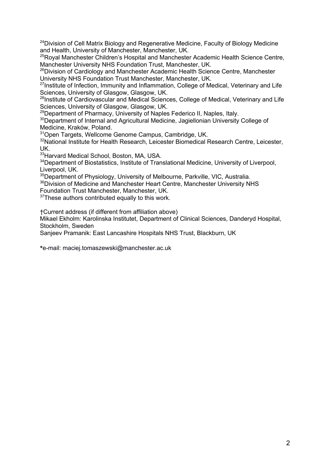$24$ Division of Cell Matrix Biology and Regenerative Medicine, Faculty of Biology Medicine and Health, University of Manchester, Manchester, UK.

<sup>25</sup>Royal Manchester Children's Hospital and Manchester Academic Health Science Centre, Manchester University NHS Foundation Trust, Manchester, UK.

26Division of Cardiology and Manchester Academic Health Science Centre, Manchester University NHS Foundation Trust Manchester, Manchester, UK.

<sup>27</sup>Institute of Infection, Immunity and Inflammation, College of Medical, Veterinary and Life Sciences, University of Glasgow, Glasgow, UK.

<sup>28</sup>Institute of Cardiovascular and Medical Sciences, College of Medical, Veterinary and Life Sciences, University of Glasgow, Glasgow, UK.

<sup>29</sup>Department of Pharmacy, University of Naples Federico II, Naples, Italy.

<sup>30</sup>Department of Internal and Agricultural Medicine, Jagiellonian University College of Medicine, Kraków, Poland.

31Open Targets, Wellcome Genome Campus, Cambridge, UK.

<sup>32</sup>National Institute for Health Research, Leicester Biomedical Research Centre, Leicester, UK.

33Harvard Medical School, Boston, MA, USA.

<sup>34</sup>Department of Biostatistics, Institute of Translational Medicine, University of Liverpool, Liverpool, UK.

<sup>35</sup>Department of Physiology, University of Melbourne, Parkville, VIC, Australia.

<sup>36</sup>Division of Medicine and Manchester Heart Centre, Manchester University NHS

Foundation Trust Manchester, Manchester, UK.

 $37$ These authors contributed equally to this work.

†Current address (if different from affiliation above)

Mikael Ekholm: Karolinska Institutet, Department of Clinical Sciences, Danderyd Hospital, Stockholm, Sweden

Sanjeev Pramanik: East Lancashire Hospitals NHS Trust, Blackburn, UK

**\***e-mail: maciej.tomaszewski@manchester.ac.uk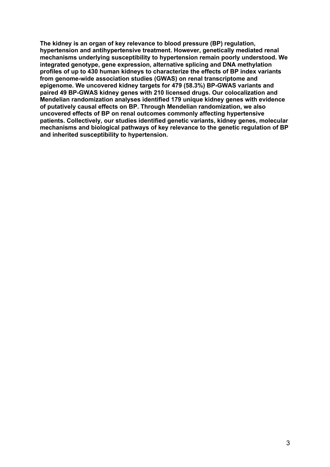**The kidney is an organ of key relevance to blood pressure (BP) regulation, hypertension and antihypertensive treatment. However, genetically mediated renal mechanisms underlying susceptibility to hypertension remain poorly understood. We integrated genotype, gene expression, alternative splicing and DNA methylation profiles of up to 430 human kidneys to characterize the effects of BP index variants from genome-wide association studies (GWAS) on renal transcriptome and epigenome. We uncovered kidney targets for 479 (58.3%) BP-GWAS variants and paired 49 BP-GWAS kidney genes with 210 licensed drugs. Our colocalization and Mendelian randomization analyses identified 179 unique kidney genes with evidence of putatively causal effects on BP. Through Mendelian randomization, we also uncovered effects of BP on renal outcomes commonly affecting hypertensive patients. Collectively, our studies identified genetic variants, kidney genes, molecular mechanisms and biological pathways of key relevance to the genetic regulation of BP and inherited susceptibility to hypertension.**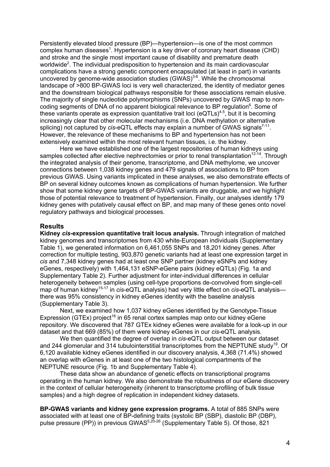Persistently elevated blood pressure (BP)—hypertension—is one of the most common complex human diseases<sup>1</sup>. Hypertension is a key driver of coronary heart disease (CHD) and stroke and the single most important cause of disability and premature death worldwide<sup>2</sup>. The individual predisposition to hypertension and its main cardiovascular complications have a strong genetic component encapsulated (at least in part) in variants uncovered by genome-wide association studies  $(GWAS)^{3.6}$ . While the chromosomal landscape of >800 BP-GWAS loci is very well characterized, the identity of mediator genes and the downstream biological pathways responsible for these associations remain elusive. The majority of single nucleotide polymorphisms (SNPs) uncovered by GWAS map to noncoding segments of DNA of no apparent biological relevance to BP regulation<sup>6</sup>. Some of these variants operate as expression quantitative trait loci ( $eQTLs$ )<sup>4,5</sup>, but it is becoming increasingly clear that other molecular mechanisms (i.e. DNA methylation or alternative splicing) not captured by *cis*-eQTL effects may explain a number of GWAS signals<sup>7-11</sup>. However, the relevance of these mechanisms to BP and hypertension has not been extensively examined within the most relevant human tissues, i.e. the kidney.

Here we have established one of the largest repositories of human kidneys using samples collected after elective nephrectomies or prior to renal transplantation<sup>12-14</sup>. Through the integrated analysis of their genome, transcriptome, and DNA methylome, we uncover connections between 1,038 kidney genes and 479 signals of associations to BP from previous GWAS. Using variants implicated in these analyses, we also demonstrate effects of BP on several kidney outcomes known as complications of human hypertension. We further show that some kidney gene targets of BP-GWAS variants are druggable, and we highlight those of potential relevance to treatment of hypertension. Finally, our analyses identify 179 kidney genes with putatively causal effect on BP, and map many of these genes onto novel regulatory pathways and biological processes.

### **Results**

**Kidney** *cis***-expression quantitative trait locus analysis.** Through integration of matched kidney genomes and transcriptomes from 430 white-European individuals (Supplementary Table 1), we generated information on 6,461,055 SNPs and 18,201 kidney genes. After correction for multiple testing, 903,870 genetic variants had at least one expression target in *cis* and 7,348 kidney genes had at least one SNP partner (kidney eSNPs and kidney eGenes, respectively) with 1,464,131 eSNP-eGene pairs (kidney eQTLs) (Fig. 1a and Supplementary Table 2). Further adjustment for inter-individual differences in cellular heterogeneity between samples (using cell-type proportions de-convolved from single-cell map of human kidney15-17 in *cis*-eQTL analysis) had very little effect on *cis*-eQTL analysis there was 95% consistency in kidney eGenes identity with the baseline analysis (Supplementary Table 3).

Next, we examined how 1,037 kidney eGenes identified by the Genotype-Tissue Expression (GTEx) project<sup>18</sup> in 65 renal cortex samples map onto our kidney eGene repository. We discovered that 787 GTEx kidney eGenes were available for a look-up in our dataset and that 669 (85%) of them were kidney eGenes in our *cis*-eQTL analysis.

We then quantified the degree of overlap in *cis*-eQTL output between our dataset and 244 glomerular and 314 tubulointerstitial transcriptomes from the NEPTUNE study<sup>19</sup>. Of 6,120 available kidney eGenes identified in our discovery analysis, 4,368 (71.4%) showed an overlap with eGenes in at least one of the two histological compartments of the NEPTUNE resource (Fig. 1b and Supplementary Table 4).

These data show an abundance of genetic effects on transcriptional programs operating in the human kidney. We also demonstrate the robustness of our eGene discovery in the context of cellular heterogeneity (inherent to transcriptome profiling of bulk tissue samples) and a high degree of replication in independent kidney datasets.

**BP-GWAS variants and kidney gene expression programs.** A total of 885 SNPs were associated with at least one of BP-defining traits (systolic BP (SBP), diastolic BP (DBP), pulse pressure (PP)) in previous GWAS<sup>5,20-26</sup> (Supplementary Table 5). Of those, 821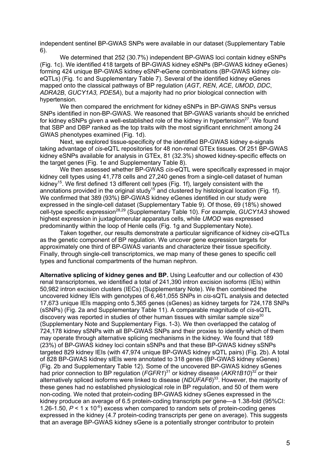independent sentinel BP-GWAS SNPs were available in our dataset (Supplementary Table 6).

We determined that 252 (30.7%) independent BP-GWAS loci contain kidney eSNPs (Fig. 1c). We identified 418 targets of BP-GWAS kidney eSNPs (BP-GWAS kidney eGenes) forming 424 unique BP-GWAS kidney eSNP-eGene combinations (BP-GWAS kidney *cis*eQTLs) (Fig. 1c and Supplementary Table 7). Several of the identified kidney eGenes mapped onto the classical pathways of BP regulation (*AGT*, *REN*, *ACE*, *UMOD*, *DDC*, *ADRA2B*, *GUCY1A3, PDE5A*), but a majority had no prior biological connection with hypertension.

We then compared the enrichment for kidney eSNPs in BP-GWAS SNPs versus SNPs identified in non-BP-GWAS. We reasoned that BP-GWAS variants should be enriched for kidney eSNPs given a well-established role of the kidney in hypertension $^{27}$ . We found that SBP and DBP ranked as the top traits with the most significant enrichment among 24 GWAS phenotypes examined (Fig. 1d).

Next, we explored tissue-specificity of the identified BP-GWAS kidney e-signals taking advantage of *cis*-eQTL repositories for 48 non-renal GTEx tissues. Of 251 BP-GWAS kidney eSNPs available for analysis in GTEx, 81 (32.3%) showed kidney-specific effects on the target genes (Fig. 1e and Supplementary Table 8).

We then assessed whether BP-GWAS *cis*-eQTL were specifically expressed in major kidney cell types using 41,778 cells and 27,240 genes from a single-cell dataset of human kidney<sup>15</sup>. We first defined 13 different cell types (Fig. 1f), largely consistent with the annotations provided in the original study<sup>15</sup> and clustered by histological location (Fig. 1f). We confirmed that 389 (93%) BP-GWAS kidney eGenes identified in our study were expressed in the single-cell dataset (Supplementary Table 9). Of those, 69 (18%) showed cell-type specific expression28,29 (Supplementary Table 10). For example, *GUCY1A3* showed highest expression in juxtaglomerular apparatus cells, while *UMOD* was expressed predominantly within the loop of Henle cells (Fig. 1g and Supplementary Note).

Taken together, our results demonstrate a particular significance of kidney *cis*-eQTLs as the genetic component of BP regulation. We uncover gene expression targets for approximately one third of BP-GWAS variants and characterize their tissue specificity. Finally, through single-cell transcriptomics, we map many of these genes to specific cell types and functional compartments of the human nephron.

**Alternative splicing of kidney genes and BP.** Using Leafcutter and our collection of 430 renal transcriptomes, we identified a total of 241,390 intron excision isoforms (IEIs) within 50,982 intron excision clusters (IECs) (Supplementary Note). We then combined the uncovered kidney IEIs with genotypes of 6,461,055 SNPs in *cis*-sQTL analysis and detected 17,673 unique IEIs mapping onto 5,365 genes (sGenes) as kidney targets for 724,178 SNPs (sSNPs) (Fig. 2a and Supplementary Table 11). A comparable magnitude of *cis*-sQTL discovery was reported in studies of other human tissues with similar sample size $30$ (Supplementary Note and Supplementary Figs. 1-3). We then overlapped the catalog of 724,178 kidney sSNPs with all BP-GWAS SNPs and their proxies to identify which of them may operate through alternative splicing mechanisms in the kidney. We found that 189 (23%) of BP-GWAS kidney loci contain sSNPs and that these BP-GWAS kidney sSNPs targeted 829 kidney IEIs (with 47,974 unique BP-GWAS kidney sQTL pairs) (Fig. 2b). A total of 828 BP-GWAS kidney sIEIs were annotated to 318 genes (BP-GWAS kidney sGenes) (Fig. 2b and Supplementary Table 12). Some of the uncovered BP-GWAS kidney sGenes had prior connection to BP regulation (*FGFR1*) <sup>31</sup> or kidney disease (*AKR1B10*) <sup>32</sup> or their alternatively spliced isoforms were linked to disease (*NDUFAF6*) 33 . However, the majority of these genes had no established physiological role in BP regulation, and 50 of them were non-coding. We noted that protein-coding BP-GWAS kidney sGenes expressed in the kidney produce an average of 6.5 protein-coding transcripts per gene—a 1.38-fold (95%CI: 1.26-1.50,  $P < 1 \times 10^{-6}$ ) excess when compared to random sets of protein-coding genes expressed in the kidney (4.7 protein-coding transcripts per gene on average). This suggests that an average BP-GWAS kidney sGene is a potentially stronger contributor to protein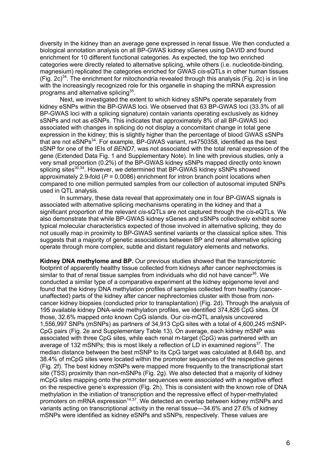diversity in the kidney than an average gene expressed in renal tissue. We then conducted a biological annotation analysis on all BP-GWAS kidney sGenes using DAVID and found enrichment for 10 different functional categories. As expected, the top two enriched categories were directly related to alternative splicing, while others (i.e. nucleotide-binding, magnesium) replicated the categories enriched for GWAS *cis*-sQTLs in other human tissues (Fig. 2c)<sup>34</sup>. The enrichment for mitochondria revealed through this analysis (Fig. 2c) is in line with the increasingly recognized role for this organelle in shaping the mRNA expression programs and alternative splicing<sup>35</sup>.

Next, we investigated the extent to which kidney sSNPs operate separately from kidney eSNPs within the BP-GWAS loci. We observed that 63 BP-GWAS loci (33.3% of all BP-GWAS loci with a splicing signature) contain variants operating exclusively as kidney sSNPs and not as eSNPs. This indicates that approximately 8% of all BP-GWAS loci associated with changes in splicing do not display a concomitant change in total gene expression in the kidney; this is slightly higher than the percentage of blood GWAS sSNPs that are not eSNPs<sup>34</sup>. For example, BP-GWAS variant, rs4750358, identified as the best sSNP for one of the IEIs of *BEND7,* was not associated with the total renal expression of the gene (Extended Data Fig. 1 and Supplementary Note). In line with previous studies, only a very small proportion (0.2%) of the BP-GWAS kidney sSNPs mapped directly onto known splicing sites<sup>30,34</sup>. However, we determined that BP-GWAS kidney sSNPs showed approximately 2.9-fold (*P* = 0.0086) enrichment for intron branch point locations when compared to one million permuted samples from our collection of autosomal imputed SNPs used in QTL analysis.

In summary, these data reveal that approximately one in four BP-GWAS signals is associated with alternative splicing mechanisms operating in the kidney and that a significant proportion of the relevant *cis*-sQTLs are not captured through the *cis*-eQTLs. We also demonstrate that while BP-GWAS kidney sGenes and sSNPs collectively exhibit some typical molecular characteristics expected of those involved in alternative splicing, they do not usually map in proximity to BP-GWAS sentinel variants or the classical splice sites. This suggests that a majority of genetic associations between BP and renal alternative splicing operate through more complex, subtle and distant regulatory elements and networks.

**Kidney DNA methylome and BP.** Our previous studies showed that the transcriptomic footprint of apparently healthy tissue collected from kidneys after cancer nephrectomies is similar to that of renal tissue samples from individuals who did not have cancer<sup>36</sup>. We conducted a similar type of a comparative experiment at the kidney epigenome level and found that the kidney DNA methylation profiles of samples collected from healthy (cancerunaffected) parts of the kidney after cancer nephrectomies cluster with those from noncancer kidney biopsies (conducted prior to transplantation) (Fig. 2d). Through the analysis of 195 available kidney DNA-wide methylation profiles, we identified 374,826 CpG sites. Of those, 32.6% mapped onto known CpG islands. Our *cis*-mQTL analysis uncovered 1,556,997 SNPs (mSNPs) as partners of 34,913 CpG sites with a total of 4,600,245 mSNP-CpG pairs (Fig. 2e and Supplementary Table 13). On average, each kidney mSNP was associated with three CpG sites, while each renal m-target (CpG) was partnered with an average of 132 mSNPs; this is most likely a reflection of LD in examined regions<sup>37</sup>. The median distance between the best mSNP to its CpG target was calculated at 8,648 bp, and 38.4% of mCpG sites were located within the promoter sequences of the respective genes (Fig. 2f). The best kidney mSNPs were mapped more frequently to the transcriptional start site (TSS) proximity than non-mSNPs (Fig. 2g). We also detected that a majority of kidney mCpG sites mapping onto the promoter sequences were associated with a negative effect on the respective gene's expression (Fig. 2h). This is consistent with the known role of DNA methylation in the initiation of transcription and the repressive effect of hyper-methylated promoters on mRNA expression<sup>14,37</sup>. We detected an overlap between kidney mSNPs and variants acting on transcriptional activity in the renal tissue—34.6% and 27.6% of kidney mSNPs were identified as kidney eSNPs and sSNPs, respectively. These values are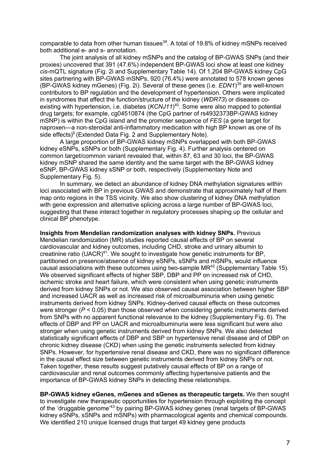comparable to data from other human tissues<sup>38</sup>. A total of 19.8% of kidney mSNPs received both additional e- and s- annotation.

The joint analysis of all kidney mSNPs and the catalog of BP-GWAS SNPs (and their proxies) uncovered that 391 (47.6%) independent BP-GWAS loci show at least one kidney *cis*-mQTL signature (Fig. 2i and Supplementary Table 14). Of 1,204 BP-GWAS kidney CpG sites partnering with BP-GWAS mSNPs, 920 (76.4%) were annotated to 578 known genes (BP-GWAS kidney mGenes) (Fig. 2i). Several of these genes (i.e. *EDN1*) <sup>39</sup> are well-known contributors to BP regulation and the development of hypertension. Others were implicated in syndromes that affect the function/structure of the kidney (*WDR73*) or diseases coexisting with hypertension, i.e. diabetes (*KCNJ11*) 40. Some were also mapped to potential drug targets; for example, cg04510874 (the CpG partner of rs4932373BP-GWAS kidney mSNP) is within the CpG island and the promoter sequence of *FES* (a gene target for naproxen—a non-steroidal anti-inflammatory medication with high BP known as one of its side effects) $6$  (Extended Data Fig. 2 and Supplementary Note).

A large proportion of BP-GWAS kidney mSNPs overlapped with both BP-GWAS kidney eSNPs, sSNPs or both (Supplementary Fig. 4). Further analysis centered on common target/common variant revealed that, within 87, 63 and 30 loci, the BP-GWAS kidney mSNP shared the same identity and the same target with the BP-GWAS kidney eSNP, BP-GWAS kidney sSNP or both, respectively (Supplementary Note and Supplementary Fig. 5).

In summary, we detect an abundance of kidney DNA methylation signatures within loci associated with BP in previous GWAS and demonstrate that approximately half of them map onto regions in the TSS vicinity. We also show clustering of kidney DNA methylation with gene expression and alternative splicing across a large number of BP-GWAS loci, suggesting that these interact together in regulatory processes shaping up the cellular and clinical BP phenotype.

**Insights from Mendelian randomization analyses with kidney SNPs.** Previous Mendelian randomization (MR) studies reported causal effects of BP on several cardiovascular and kidney outcomes, including CHD, stroke and urinary albumin to creatinine ratio (UACR)<sup>41</sup>. We sought to investigate how genetic instruments for BP, partitioned on presence/absence of kidney eSNPs, sSNPs and mSNPs, would influence causal associations with these outcomes using two-sample MR $42$  (Supplementary Table 15). We observed significant effects of higher SBP, DBP and PP on increased risk of CHD, ischemic stroke and heart failure, which were consistent when using genetic instruments derived from kidney SNPs or not. We also observed causal association between higher SBP and increased UACR as well as increased risk of microalbuminuria when using genetic instruments derived from kidney SNPs. Kidney-derived causal effects on these outcomes were stronger (*P* < 0.05) than those observed when considering genetic instruments derived from SNPs with no apparent functional relevance to the kidney (Supplementary Fig. 6). The effects of DBP and PP on UACR and microalbuminuria were less significant but were also stronger when using genetic instruments derived from kidney SNPs. We also detected statistically significant effects of DBP and SBP on hypertensive renal disease and of DBP on chronic kidney disease (CKD) when using the genetic instruments selected from kidney SNPs. However, for hypertensive renal disease and CKD, there was no significant difference in the causal effect size between genetic instruments derived from kidney SNPs or not. Taken together, these results suggest putatively causal effects of BP on a range of cardiovascular and renal outcomes commonly affecting hypertensive patients and the importance of BP-GWAS kidney SNPs in detecting these relationships.

**BP-GWAS kidney eGenes, mGenes and sGenes as therapeutic targets.** We then sought to investigate new therapeutic opportunities for hypertension through exploiting the concept of the 'druggable genome'43 by pairing BP-GWAS kidney genes (renal targets of BP-GWAS kidney eSNPs, sSNPs and mSNPs) with pharmacological agents and chemical compounds. We identified 210 unique licensed drugs that target 49 kidney gene products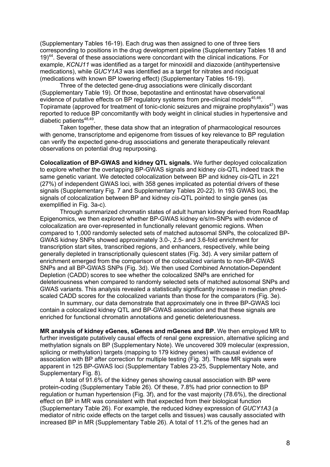(Supplementary Tables 16-19). Each drug was then assigned to one of three tiers corresponding to positions in the drug development pipeline (Supplementary Tables 18 and 19)<sup>44</sup>. Several of these associations were concordant with the clinical indications. For example, *KCNJ11* was identified as a target for minoxidil and diazoxide (antihypertensive medications), while *GUCY1A3* was identified as a target for nitrates and riociguat (medications with known BP lowering effect) (Supplementary Tables 16-19).

Three of the detected gene-drug associations were clinically discordant (Supplementary Table 19). Of those, bepotastine and entinostat have observational evidence of putative effects on BP regulatory systems from pre-clinical models<sup>45,46</sup>. Topiramate (approved for treatment of tonic-clonic seizures and migraine prophylaxis<sup>47</sup>) was reported to reduce BP concomitantly with body weight in clinical studies in hypertensive and diabetic patients<sup>48,49</sup>

Taken together, these data show that an integration of pharmacological resources with genome, transcriptome and epigenome from tissues of key relevance to BP regulation can verify the expected gene-drug associations and generate therapeutically relevant observations on potential drug repurposing.

**Colocalization of BP-GWAS and kidney QTL signals.** We further deployed colocalization to explore whether the overlapping BP-GWAS signals and kidney *cis*-QTL indeed track the same genetic variant. We detected colocalization between BP and kidney *cis*-QTL in 221 (27%) of independent GWAS loci, with 358 genes implicated as potential drivers of these signals (Supplementary Fig. 7 and Supplementary Tables 20-22). In 193 GWAS loci, the signals of colocalization between BP and kidney *cis*-QTL pointed to single genes (as exemplified in Fig. 3a-c).

Through summarized chromatin states of adult human kidney derived from RoadMap Epigenomics, we then explored whether BP-GWAS kidney e/s/m-SNPs with evidence of colocalization are over-represented in functionally relevant genomic regions. When compared to 1,000 randomly selected sets of matched autosomal SNPs, the colocalized BP-GWAS kidney SNPs showed approximately 3.0-, 2.5- and 3.6-fold enrichment for transcription start sites, transcribed regions, and enhancers, respectively, while being generally depleted in transcriptionally quiescent states (Fig. 3d). A very similar pattern of enrichment emerged from the comparison of the colocalized variants to non-BP-GWAS SNPs and all BP-GWAS SNPs (Fig. 3d). We then used Combined Annotation-Dependent Depletion (CADD) scores to see whether the colocalized SNPs are enriched for deleteriousness when compared to randomly selected sets of matched autosomal SNPs and GWAS variants. This analysis revealed a statistically significantly increase in median phredscaled CADD scores for the colocalized variants than those for the comparators (Fig. 3e).

In summary, our data demonstrate that approximately one in three BP-GWAS loci contain a colocalized kidney QTL and BP-GWAS association and that these signals are enriched for functional chromatin annotations and genetic deleteriousness.

**MR analysis of kidney eGenes, sGenes and mGenes and BP.** We then employed MR to further investigate putatively causal effects of renal gene expression, alternative splicing and methylation signals on BP (Supplementary Note). We uncovered 309 molecular (expression, splicing or methylation) targets (mapping to 179 kidney genes) with causal evidence of association with BP after correction for multiple testing (Fig. 3f). These MR signals were apparent in 125 BP-GWAS loci (Supplementary Tables 23-25, Supplementary Note, and Supplementary Fig. 8).

A total of 91.6% of the kidney genes showing causal association with BP were protein-coding (Supplementary Table 26). Of these, 7.8% had prior connection to BP regulation or human hypertension (Fig. 3f), and for the vast majority (78.6%), the directional effect on BP in MR was consistent with that expected from their biological function (Supplementary Table 26). For example, the reduced kidney expression of *GUCY1A3* (a mediator of nitric oxide effects on the target cells and tissues) was causally associated with increased BP in MR (Supplementary Table 26). A total of 11.2% of the genes had an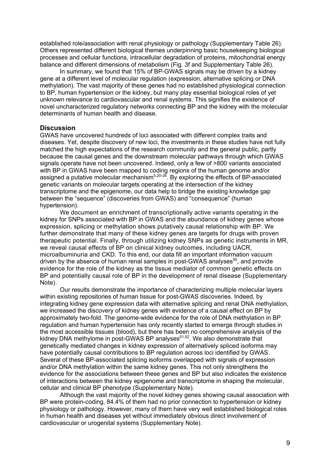established role/association with renal physiology or pathology (Supplementary Table 26). Others represented different biological themes underpinning basic housekeeping biological processes and cellular functions, intracellular degradation of proteins, mitochondrial energy balance and different dimensions of metabolism (Fig. 3f and Supplementary Table 26).

In summary, we found that 15% of BP-GWAS signals may be driven by a kidney gene at a different level of molecular regulation (expression, alternative splicing or DNA methylation). The vast majority of these genes had no established physiological connection to BP, human hypertension or the kidney, but many play essential biological roles of yet unknown relevance to cardiovascular and renal systems. This signifies the existence of novel uncharacterized regulatory networks connecting BP and the kidney with the molecular determinants of human health and disease.

### **Discussion**

GWAS have uncovered hundreds of loci associated with different complex traits and diseases. Yet, despite discovery of new loci, the investments in these studies have not fully matched the high expectations of the research community and the general public, partly because the causal genes and the downstream molecular pathways through which GWAS signals operate have not been uncovered. Indeed, only a few of >800 variants associated with BP in GWAS have been mapped to coding regions of the human genome and/or assigned a putative molecular mechanism<sup>5,20-26</sup>. By exploring the effects of BP-associated genetic variants on molecular targets operating at the intersection of the kidney transcriptome and the epigenome, our data help to bridge the existing knowledge gap between the "sequence" (discoveries from GWAS) and "consequence" (human hypertension).

We document an enrichment of transcriptionally active variants operating in the kidney for SNPs associated with BP in GWAS and the abundance of kidney genes whose expression, splicing or methylation shows putatively causal relationship with BP. We further demonstrate that many of these kidney genes are targets for drugs with proven therapeutic potential. Finally, through utilizing kidney SNPs as genetic instruments in MR, we reveal causal effects of BP on clinical kidney outcomes, including UACR, microalbuminuria and CKD. To this end, our data fill an important information vacuum driven by the absence of human renal samples in post-GWAS analyses<sup>50</sup>, and provide evidence for the role of the kidney as the tissue mediator of common genetic effects on BP and potentially causal role of BP in the development of renal disease (Supplementary Note).

Our results demonstrate the importance of characterizing multiple molecular layers within existing repositories of human tissue for post-GWAS discoveries. Indeed, by integrating kidney gene expression data with alternative splicing and renal DNA methylation, we increased the discovery of kidney genes with evidence of a causal effect on BP by approximately two-fold. The genome-wide evidence for the role of DNA methylation in BP regulation and human hypertension has only recently started to emerge through studies in the most accessible tissues (blood), but there has been no comprehensive analysis of the kidney DNA methylome in post-GWAS BP analyses $51,52$ . We also demonstrate that genetically mediated changes in kidney expression of alternatively spliced isoforms may have potentially causal contributions to BP regulation across loci identified by GWAS. Several of these BP-associated splicing isoforms overlapped with signals of expression and/or DNA methylation within the same kidney genes. This not only strengthens the evidence for the associations between these genes and BP but also indicates the existence of interactions between the kidney epigenome and transcriptome in shaping the molecular, cellular and clinical BP phenotype (Supplementary Note).

Although the vast majority of the novel kidney genes showing causal association with BP were protein-coding, 84.4% of them had no prior connection to hypertension or kidney physiology or pathology. However, many of them have very well established biological roles in human health and diseases yet without immediately obvious direct involvement of cardiovascular or urogenital systems (Supplementary Note).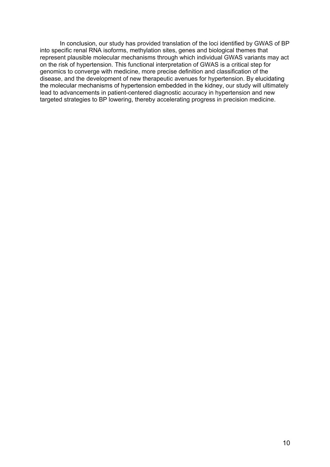In conclusion, our study has provided translation of the loci identified by GWAS of BP into specific renal RNA isoforms, methylation sites, genes and biological themes that represent plausible molecular mechanisms through which individual GWAS variants may act on the risk of hypertension. This functional interpretation of GWAS is a critical step for genomics to converge with medicine, more precise definition and classification of the disease, and the development of new therapeutic avenues for hypertension. By elucidating the molecular mechanisms of hypertension embedded in the kidney, our study will ultimately lead to advancements in patient-centered diagnostic accuracy in hypertension and new targeted strategies to BP lowering, thereby accelerating progress in precision medicine.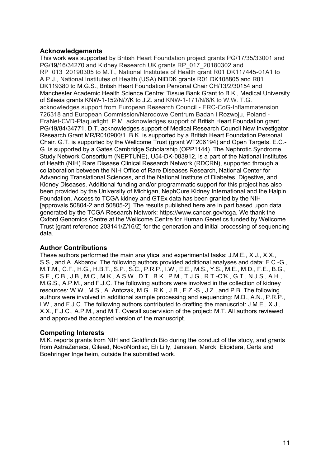### **Acknowledgements**

This work was supported by British Heart Foundation project grants PG/17/35/33001 and PG/19/16/34270 and Kidney Research UK grants RP\_017\_20180302 and RP\_013\_20190305 to M.T., National Institutes of Health grant R01 DK117445-01A1 to A.P.J., National Institutes of Health (USA) NIDDK grants R01 DK108805 and R01 DK119380 to M.G.S., British Heart Foundation Personal Chair CH/13/2/30154 and Manchester Academic Health Science Centre: Tissue Bank Grant to B.K., Medical University of Silesia grants KNW-1-152/N/7/K to J.Z. and KNW-1-171/N/6/K to W.W. T.G. acknowledges support from European Research Council - ERC-CoG-Inflammatension 726318 and European Commission/Narodowe Centrum Badan i Rozwoju, Poland - EraNet-CVD-Plaquefight. P.M. acknowledges support of British Heart Foundation grant PG/19/84/34771. D.T. acknowledges support of Medical Research Council New Investigator Research Grant MR/R010900/1. B.K. is supported by a British Heart Foundation Personal Chair. G.T. is supported by the Wellcome Trust (grant WT206194) and Open Targets. E.C.- G. is supported by a Gates Cambridge Scholarship (OPP1144). The Nephrotic Syndrome Study Network Consortium (NEPTUNE), U54-DK-083912, is a part of the National Institutes of Health (NIH) Rare Disease Clinical Research Network (RDCRN), supported through a collaboration between the NIH Office of Rare Diseases Research, National Center for Advancing Translational Sciences, and the National Institute of Diabetes, Digestive, and Kidney Diseases. Additional funding and/or programmatic support for this project has also been provided by the University of Michigan, NephCure Kidney International and the Halpin Foundation. Access to TCGA kidney and GTEx data has been granted by the NIH [approvals 50804-2 and 50805-2]. The results published here are in part based upon data generated by the TCGA Research Network: https://www.cancer.gov/tcga. We thank the Oxford Genomics Centre at the Wellcome Centre for Human Genetics funded by Wellcome Trust [grant reference 203141/Z/16/Z] for the generation and initial processing of sequencing data.

# **Author Contributions**

These authors performed the main analytical and experimental tasks: J.M.E., X.J., X.X., S.S., and A. Akbarov. The following authors provided additional analyses and data: E.C.-G., M.T.M., C.F., H.G., H.B.T., S.P., S.C., P.R.P., I.W., E.E., M.S., Y.S., M.E., M.D., F.E., B.G., S.E., C.B., J.B., M.C., M.K., A.S.W., D.T., B.K., P.M., T.J.G., R.T.-O'K., G.T., N.J.S., A.H., M.G.S., A.P.M., and F.J.C. The following authors were involved in the collection of kidney resources: W.W., M.S., A. Antczak, M.G., R.K., J.B., E.Z.-S., J.Z., and P.B. The following authors were involved in additional sample processing and sequencing: M.D., A.N., P.R.P., I.W., and F.J.C. The following authors contributed to drafting the manuscript: J.M.E., X.J., X.X., F.J.C., A.P.M., and M.T. Overall supervision of the project: M.T. All authors reviewed and approved the accepted version of the manuscript.

### **Competing Interests**

M.K. reports grants from NIH and Goldfinch Bio during the conduct of the study, and grants from AstraZeneca, Gilead, NovoNordisc, Eli Lilly, Janssen, Merck, Elipidera, Certa and Boehringer Ingelheim, outside the submitted work.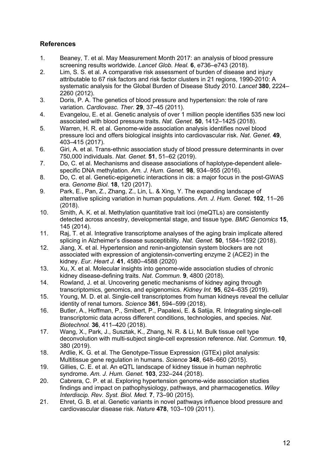# **References**

- 1. Beaney, T. et al. May Measurement Month 2017: an analysis of blood pressure screening results worldwide. *Lancet Glob. Heal.* **6**, e736–e743 (2018).
- 2. Lim, S. S. et al. A comparative risk assessment of burden of disease and injury attributable to 67 risk factors and risk factor clusters in 21 regions, 1990-2010: A systematic analysis for the Global Burden of Disease Study 2010. *Lancet* **380**, 2224– 2260 (2012).
- 3. Doris, P. A. The genetics of blood pressure and hypertension: the role of rare variation. *Cardiovasc. Ther.* **29**, 37–45 (2011).
- 4. Evangelou, E. et al. Genetic analysis of over 1 million people identifies 535 new loci associated with blood pressure traits. *Nat. Genet.* **50**, 1412–1425 (2018).
- 5. Warren, H. R. et al. Genome-wide association analysis identifies novel blood pressure loci and offers biological insights into cardiovascular risk. *Nat. Genet.* **49**, 403–415 (2017).
- 6. Giri, A. et al. Trans-ethnic association study of blood pressure determinants in over 750,000 individuals. *Nat. Genet.* **51**, 51–62 (2019).
- 7. Do, C. et al. Mechanisms and disease associations of haplotype-dependent allelespecific DNA methylation. *Am. J. Hum. Genet.* **98**, 934–955 (2016).
- 8. Do, C. et al. Genetic-epigenetic interactions in cis: a major focus in the post-GWAS era. *Genome Biol.* **18**, 120 (2017).
- 9. Park, E., Pan, Z., Zhang, Z., Lin, L. & Xing, Y. The expanding landscape of alternative splicing variation in human populations. *Am. J. Hum. Genet.* **102**, 11–26 (2018).
- 10. Smith, A. K. et al. Methylation quantitative trait loci (meQTLs) are consistently detected across ancestry, developmental stage, and tissue type. *BMC Genomics* **15**, 145 (2014).
- 11. Raj, T. et al. Integrative transcriptome analyses of the aging brain implicate altered splicing in Alzheimer's disease susceptibility. *Nat. Genet.* **50**, 1584–1592 (2018).
- 12. Jiang, X. et al. Hypertension and renin-angiotensin system blockers are not associated with expression of angiotensin-converting enzyme 2 (ACE2) in the kidney. *Eur. Heart J.* **41**, 4580–4588 (2020)
- 13. Xu, X. et al. Molecular insights into genome-wide association studies of chronic kidney disease-defining traits. *Nat. Commun.* **9**, 4800 (2018).
- 14. Rowland, J. et al. Uncovering genetic mechanisms of kidney aging through transcriptomics, genomics, and epigenomics. *Kidney Int.* **95**, 624–635 (2019).
- 15. Young, M. D. et al. Single-cell transcriptomes from human kidneys reveal the cellular identity of renal tumors. *Science* **361**, 594–599 (2018).
- 16. Butler, A., Hoffman, P., Smibert, P., Papalexi, E. & Satija, R. Integrating single-cell transcriptomic data across different conditions, technologies, and species. *Nat. Biotechnol.* **36**, 411–420 (2018).
- 17. Wang, X., Park, J., Susztak, K., Zhang, N. R. & Li, M. Bulk tissue cell type deconvolution with multi-subject single-cell expression reference. *Nat. Commun.* **10**, 380 (2019).
- 18. Ardlie, K. G. et al. The Genotype-Tissue Expression (GTEx) pilot analysis: Multitissue gene regulation in humans. *Science* **348**, 648–660 (2015).
- 19. Gillies, C. E. et al. An eQTL landscape of kidney tissue in human nephrotic syndrome. *Am. J. Hum. Genet.* **103**, 232–244 (2018).
- 20. Cabrera, C. P. et al. Exploring hypertension genome-wide association studies findings and impact on pathophysiology, pathways, and pharmacogenetics. *Wiley Interdiscip. Rev. Syst. Biol. Med.* **7**, 73–90 (2015).
- 21. Ehret, G. B. et al. Genetic variants in novel pathways influence blood pressure and cardiovascular disease risk. *Nature* **478**, 103–109 (2011).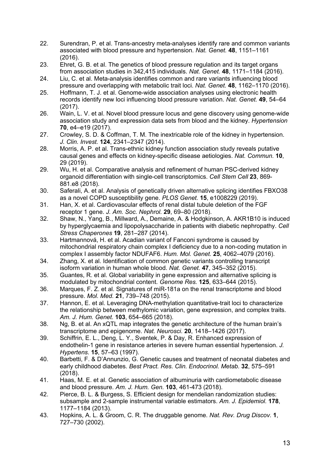- 22. Surendran, P. et al. Trans-ancestry meta-analyses identify rare and common variants associated with blood pressure and hypertension. *Nat. Genet.* **48**, 1151–1161 (2016).
- 23. Ehret, G. B. et al. The genetics of blood pressure regulation and its target organs from association studies in 342,415 individuals. *Nat. Genet.* **48**, 1171–1184 (2016).
- 24. Liu, C. et al. Meta-analysis identifies common and rare variants influencing blood pressure and overlapping with metabolic trait loci. *Nat. Genet.* **48**, 1162–1170 (2016).
- 25. Hoffmann, T. J. et al. Genome-wide association analyses using electronic health records identify new loci influencing blood pressure variation. *Nat. Genet.* **49**, 54–64 (2017).
- 26. Wain, L. V. et al. Novel blood pressure locus and gene discovery using genome-wide association study and expression data sets from blood and the kidney. *Hypertension*  **70**, e4–e19 (2017).
- 27. Crowley, S. D. & Coffman, T. M. The inextricable role of the kidney in hypertension. *J. Clin. Invest.* **124**, 2341–2347 (2014).
- 28. Morris, A. P. et al. Trans-ethnic kidney function association study reveals putative causal genes and effects on kidney-specific disease aetiologies. *Nat. Commun.* **10**, 29 (2019).
- 29. Wu, H. et al. Comparative analysis and refinement of human PSC-derived kidney organoid differentiation with single-cell transcriptomics. *Cell Stem Cell* **23**, 869- 881.e8 (2018).
- 30. Saferali, A. et al. Analysis of genetically driven alternative splicing identifies FBXO38 as a novel COPD susceptibility gene. *PLOS Genet.* **15**, e1008229 (2019).
- 31. Han, X. et al. Cardiovascular effects of renal distal tubule deletion of the FGF receptor 1 gene. *J. Am. Soc. Nephrol.* **29**, 69–80 (2018).
- 32. Shaw, N., Yang, B., Millward, A., Demaine, A. & Hodgkinson, A. AKR1B10 is induced by hyperglycaemia and lipopolysaccharide in patients with diabetic nephropathy. *Cell Stress Chaperones* **19**, 281–287 (2014).
- 33. Hartmannová, H. et al. Acadian variant of Fanconi syndrome is caused by mitochondrial respiratory chain complex I deficiency due to a non-coding mutation in complex I assembly factor NDUFAF6. *Hum. Mol. Genet.* **25**, 4062–4079 (2016).
- 34. Zhang, X. et al. Identification of common genetic variants controlling transcript isoform variation in human whole blood. *Nat. Genet.* **47**, 345–352 (2015).
- 35. Guantes, R. et al. Global variability in gene expression and alternative splicing is modulated by mitochondrial content. *Genome Res.* **125**, 633–644 (2015).
- 36. Marques, F. Z. et al. Signatures of miR-181a on the renal transcriptome and blood pressure. *Mol. Med.* **21**, 739–748 (2015).
- 37. Hannon, E. et al. Leveraging DNA-methylation quantitative-trait loci to characterize the relationship between methylomic variation, gene expression, and complex traits. *Am. J. Hum. Genet.* **103**, 654–665 (2018).
- 38. Ng, B. et al. An xQTL map integrates the genetic architecture of the human brain's transcriptome and epigenome. *Nat. Neurosci.* **20**, 1418–1426 (2017).
- 39. Schiffrin, E. L., Deng, L. Y., Sventek, P. & Day, R. Enhanced expression of endothelin-1 gene in resistance arteries in severe human essential hypertension. *J. Hypertens.* **15**, 57–63 (1997).
- 40. Barbetti, F. & D'Annunzio, G. Genetic causes and treatment of neonatal diabetes and early childhood diabetes. *Best Pract. Res. Clin. Endocrinol. Metab.* **32**, 575–591 (2018).
- 41. Haas, M. E. et al. Genetic association of albuminuria with cardiometabolic disease and blood pressure. *Am. J. Hum. Gen.* **103**, 461-473 (2018).
- 42. Pierce, B. L. & Burgess, S. Efficient design for mendelian randomization studies: subsample and 2-sample instrumental variable estimators. *Am. J. Epidemiol.* **178**, 1177–1184 (2013).
- 43. Hopkins, A. L. & Groom, C. R. The druggable genome. *Nat. Rev. Drug Discov.* **1**, 727–730 (2002).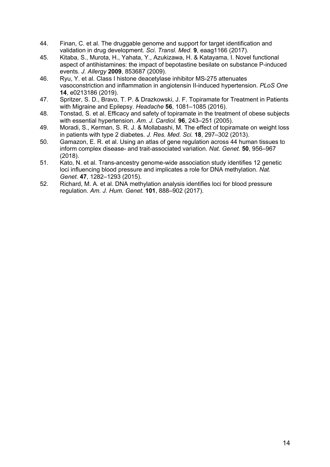- 44. Finan, C. et al. The druggable genome and support for target identification and validation in drug development. *Sci. Transl. Med.* **9**, eaag1166 (2017).
- 45. Kitaba, S., Murota, H., Yahata, Y., Azukizawa, H. & Katayama, I. Novel functional aspect of antihistamines: the impact of bepotastine besilate on substance P-induced events. *J. Allergy* **2009**, 853687 (2009).
- 46. Ryu, Y. et al. Class I histone deacetylase inhibitor MS-275 attenuates vasoconstriction and inflammation in angiotensin II-induced hypertension. *PLoS One*  **14**, e0213186 (2019).
- 47. Spritzer, S. D., Bravo, T. P. & Drazkowski, J. F. Topiramate for Treatment in Patients with Migraine and Epilepsy. *Headache* **56**, 1081–1085 (2016).
- 48. Tonstad, S. et al. Efficacy and safety of topiramate in the treatment of obese subjects with essential hypertension. *Am. J. Cardiol.* **96**, 243–251 (2005).
- 49. Moradi, S., Kerman, S. R. J. & Mollabashi, M. The effect of topiramate on weight loss in patients with type 2 diabetes. *J. Res. Med. Sci.* **18**, 297–302 (2013).
- 50. Gamazon, E. R. et al. Using an atlas of gene regulation across 44 human tissues to inform complex disease- and trait-associated variation. *Nat. Genet.* **50**, 956–967 (2018).
- 51. Kato, N. et al. Trans-ancestry genome-wide association study identifies 12 genetic loci influencing blood pressure and implicates a role for DNA methylation. *Nat. Genet.* **47**, 1282–1293 (2015).
- 52. Richard, M. A. et al. DNA methylation analysis identifies loci for blood pressure regulation. *Am. J. Hum. Genet.* **101**, 888–902 (2017).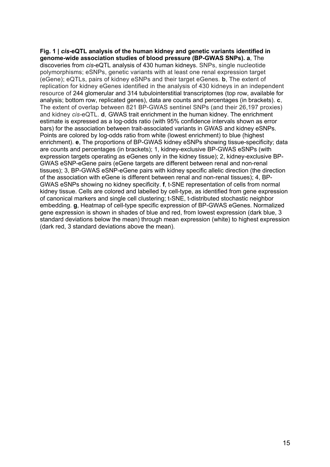**Fig. 1 |** *cis-***eQTL analysis of the human kidney and genetic variants identified in genome-wide association studies of blood pressure (BP-GWAS SNPs). a**, The discoveries from *cis*-eQTL analysis of 430 human kidneys. SNPs, single nucleotide polymorphisms; eSNPs, genetic variants with at least one renal expression target (eGene); eQTLs, pairs of kidney eSNPs and their target eGenes. **b**, The extent of replication for kidney eGenes identified in the analysis of 430 kidneys in an independent resource of 244 glomerular and 314 tubulointerstitial transcriptomes (top row, available for analysis; bottom row, replicated genes), data are counts and percentages (in brackets). **c**, The extent of overlap between 821 BP-GWAS sentinel SNPs (and their 26,197 proxies) and kidney *cis-*eQTL. **d**, GWAS trait enrichment in the human kidney. The enrichment estimate is expressed as a log-odds ratio (with 95% confidence intervals shown as error bars) for the association between trait-associated variants in GWAS and kidney eSNPs. Points are colored by log-odds ratio from white (lowest enrichment) to blue (highest enrichment). **e**, The proportions of BP-GWAS kidney eSNPs showing tissue-specificity; data are counts and percentages (in brackets); 1, kidney-exclusive BP-GWAS eSNPs (with expression targets operating as eGenes only in the kidney tissue); 2, kidney-exclusive BP-GWAS eSNP-eGene pairs (eGene targets are different between renal and non-renal tissues); 3, BP-GWAS eSNP-eGene pairs with kidney specific allelic direction (the direction of the association with eGene is different between renal and non-renal tissues); 4, BP-GWAS eSNPs showing no kidney specificity. **f**, t-SNE representation of cells from normal kidney tissue. Cells are colored and labelled by cell-type, as identified from gene expression of canonical markers and single cell clustering; t-SNE, t-distributed stochastic neighbor embedding. **g**, Heatmap of cell-type specific expression of BP-GWAS eGenes. Normalized gene expression is shown in shades of blue and red, from lowest expression (dark blue, 3 standard deviations below the mean) through mean expression (white) to highest expression (dark red, 3 standard deviations above the mean).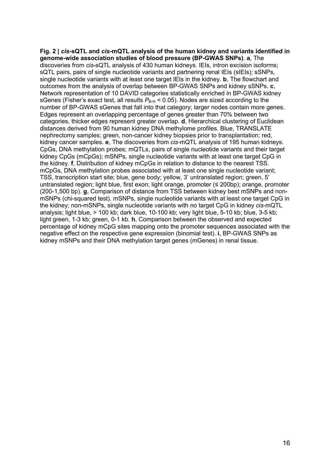**Fig. 2 |** *cis-***sQTL and** *cis***-mQTL analysis of the human kidney and variants identified in genome-wide association studies of blood pressure (BP-GWAS SNPs)**. **a**, The discoveries from *cis-*sQTL analysis of 430 human kidneys. IEIs, intron excision isoforms; sQTL pairs, pairs of single nucleotide variants and partnering renal IEIs (sIEIs); sSNPs, single nucleotide variants with at least one target IEIs in the kidney. **b**, The flowchart and outcomes from the analysis of overlap between BP-GWAS SNPs and kidney sSNPs. **c**, Network representation of 10 DAVID categories statistically enriched in BP-GWAS kidney sGenes (Fisher's exact test, all results  $P_{\text{BH}}$  < 0.05). Nodes are sized according to the number of BP-GWAS sGenes that fall into that category; larger nodes contain more genes. Edges represent an overlapping percentage of genes greater than 70% between two categories, thicker edges represent greater overlap. **d**, Hierarchical clustering of Euclidean distances derived from 90 human kidney DNA methylome profiles. Blue, TRANSLATE nephrectomy samples; green, non-cancer kidney biopsies prior to transplantation; red, kidney cancer samples. **e**, The discoveries from *cis-*mQTL analysis of 195 human kidneys. CpGs, DNA methylation probes; mQTLs, pairs of single nucleotide variants and their target kidney CpGs (mCpGs); mSNPs, single nucleotide variants with at least one target CpG in the kidney. **f**, Distribution of kidney mCpGs in relation to distance to the nearest TSS. mCpGs, DNA methylation probes associated with at least one single nucleotide variant; TSS, transcription start site; blue, gene body; yellow, 3' untranslated region; green, 5' untranslated region; light blue, first exon; light orange, promoter (≤ 200bp); orange, promoter (200-1,500 bp). **g**, Comparison of distance from TSS between kidney best mSNPs and nonmSNPs (chi-squared test). mSNPs, single nucleotide variants with at least one target CpG in the kidney; non-mSNPs, single nucleotide variants with no target CpG in kidney *cis*-mQTL analysis; light blue, > 100 kb; dark blue, 10-100 kb; very light blue, 5-10 kb; blue, 3-5 kb; light green, 1-3 kb; green, 0-1 kb. **h**, Comparison between the observed and expected percentage of kidney mCpG sites mapping onto the promoter sequences associated with the negative effect on the respective gene expression (binomial test). **i**, BP-GWAS SNPs as kidney mSNPs and their DNA methylation target genes (mGenes) in renal tissue.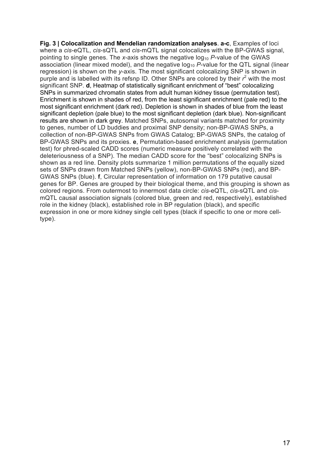**Fig. 3 | Colocalization and Mendelian randomization analyses**. **a-c**, Examples of loci where a *cis*-eQTL, *cis*-sQTL and *cis*-mQTL signal colocalizes with the BP-GWAS signal, pointing to single genes. The *x*-axis shows the negative log<sub>10</sub> P-value of the GWAS association (linear mixed model), and the negative log10 *P*-value for the QTL signal (linear regression) is shown on the *y*-axis. The most significant colocalizing SNP is shown in purple and is labelled with its refsnp ID. Other SNPs are colored by their *r* <sup>2</sup> with the most significant SNP. **d**, Heatmap of statistically significant enrichment of "best" colocalizing SNPs in summarized chromatin states from adult human kidney tissue (permutation test). Enrichment is shown in shades of red, from the least significant enrichment (pale red) to the most significant enrichment (dark red). Depletion is shown in shades of blue from the least significant depletion (pale blue) to the most significant depletion (dark blue). Non-significant results are shown in dark grey. Matched SNPs, autosomal variants matched for proximity to genes, number of LD buddies and proximal SNP density; non-BP-GWAS SNPs, a collection of non-BP-GWAS SNPs from GWAS Catalog; BP-GWAS SNPs, the catalog of BP-GWAS SNPs and its proxies. **e**, Permutation-based enrichment analysis (permutation test) for phred-scaled CADD scores (numeric measure positively correlated with the deleteriousness of a SNP). The median CADD score for the "best" colocalizing SNPs is shown as a red line. Density plots summarize 1 million permutations of the equally sized sets of SNPs drawn from Matched SNPs (yellow), non-BP-GWAS SNPs (red), and BP-GWAS SNPs (blue). **f**, Circular representation of information on 179 putative causal genes for BP. Genes are grouped by their biological theme, and this grouping is shown as colored regions. From outermost to innermost data circle: *cis*-eQTL, *cis*-sQTL and *cis*mQTL causal association signals (colored blue, green and red, respectively), established role in the kidney (black), established role in BP regulation (black), and specific expression in one or more kidney single cell types (black if specific to one or more celltype).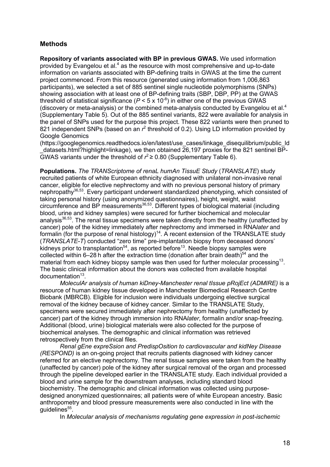# **Methods**

**Repository of variants associated with BP in previous GWAS.** We used information provided by Evangelou et al.<sup>4</sup> as the resource with most comprehensive and up-to-date information on variants associated with BP-defining traits in GWAS at the time the current project commenced. From this resource (generated using information from 1,006,863 participants), we selected a set of 885 sentinel single nucleotide polymorphisms (SNPs) showing association with at least one of BP-defining traits (SBP, DBP, PP) at the GWAS threshold of statistical significance  $(P < 5 \times 10^{-8})$  in either one of the previous GWAS (discovery or meta-analysis) or the combined meta-analysis conducted by Evangelou et al.4 (Supplementary Table 5). Out of the 885 sentinel variants, 822 were available for analysis in the panel of SNPs used for the purpose this project. These 822 variants were then pruned to 821 independent SNPs (based on an  $r^2$  threshold of 0.2). Using LD information provided by Google Genomics

(https://googlegenomics.readthedocs.io/en/latest/use\_cases/linkage\_disequilibrium/public\_ld \_datasets.html?highlight=linkage), we then obtained 26,197 proxies for the 821 sentinel BP-GWAS variants under the threshold of  $r^2 \ge 0.80$  (Supplementary Table 6).

**Populations.** *The TRANScriptome of renaL humAn TissuE Study* (*TRANSLATE*) study recruited patients of white European ethnicity diagnosed with unilateral non-invasive renal cancer, eligible for elective nephrectomy and with no previous personal history of primary nephropathy<sup>36,53</sup>. Every participant underwent standardized phenotyping, which consisted of taking personal history (using anonymized questionnaires), height, weight, waist circumference and BP measurements36,53. Different types of biological material (including blood, urine and kidney samples) were secured for further biochemical and molecular analysis<sup>36,53</sup>. The renal tissue specimens were taken directly from the healthy (unaffected by cancer) pole of the kidney immediately after nephrectomy and immersed in RNA*later* and formalin (for the purpose of renal histology)<sup>14</sup>. A recent extension of the TRANSLATE study (*TRANSLATE-T*) conducted "zero time" pre-implantation biopsy from deceased donors' kidneys prior to transplantation<sup>54</sup>, as reported before<sup>13</sup>. Needle biopsy samples were collected within 6–28 h after the extraction time (donation after brain death) $54$  and the material from each kidney biopsy sample was then used for further molecular processing<sup>13</sup>. The basic clinical information about the donors was collected from available hospital  $documentation<sup>13</sup>$ .

*MoleculAr analysis of human kiDney-Manchester renal tIssue pRojEct (ADMIRE)* is a resource of human kidney tissue developed in Manchester Biomedical Research Centre Biobank (MBRCB). Eligible for inclusion were individuals undergoing elective surgical removal of the kidney because of kidney cancer. Similar to the TRANSLATE Study, specimens were secured immediately after nephrectomy from healthy (unaffected by cancer) part of the kidney through immersion into RNA*later*, formalin and/or snap-freezing. Additional (blood, urine) biological materials were also collected for the purpose of biochemical analyses. The demographic and clinical information was retrieved retrospectively from the clinical files.

*Renal gEne expreSsion and PredispOsition to cardiovascular and kidNey Disease (RESPOND)* is an on-going project that recruits patients diagnosed with kidney cancer referred for an elective nephrectomy. The renal tissue samples were taken from the healthy (unaffected by cancer) pole of the kidney after surgical removal of the organ and processed through the pipeline developed earlier in the TRANSLATE study. Each individual provided a blood and urine sample for the downstream analyses, including standard blood biochemistry. The demographic and clinical information was collected using purposedesigned anonymized questionnaires; all patients were of white European ancestry. Basic anthropometry and blood pressure measurements were also conducted in line with the quidelines<sup>55</sup>.

In *Molecular analysis of mechanisms regulating gene expression in post-ischemic*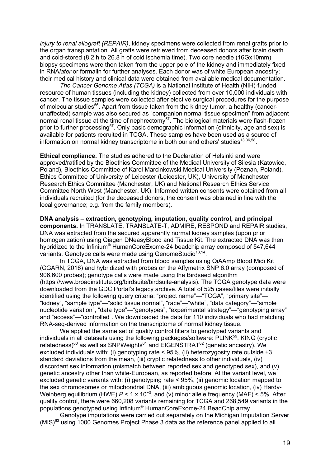*injury to renal allograft (REPAIR)*, kidney specimens were collected from renal grafts prior to the organ transplantation. All grafts were retrieved from deceased donors after brain death and cold-stored (8.2 h to 26.8 h of cold ischemia time). Two core needle (16Gx10mm) biopsy specimens were then taken from the upper pole of the kidney and immediately fixed in RNA*later* or formalin for further analyses. Each donor was of white European ancestry; their medical history and clinical data were obtained from available medical documentation.

*The Cancer Genome Atlas (TCGA)* is a National Institute of Health (NIH)-funded resource of human tissues (including the kidney) collected from over 10,000 individuals with cancer. The tissue samples were collected after elective surgical procedures for the purpose of molecular studies<sup>56</sup>. Apart from tissue taken from the kidney tumor, a healthy (cancerunaffected) sample was also secured as "companion normal tissue specimen" from adjacent normal renal tissue at the time of nephrectomy<sup>57</sup>. The biological materials were flash-frozen prior to further processing<sup>57</sup>. Only basic demographic information (ethnicity, age and sex) is available for patients recruited in TCGA. These samples have been used as a source of information on normal kidney transcriptome in both our and others' studies<sup>13,36,58</sup>.

**Ethical compliance.** The studies adhered to the Declaration of Helsinki and were approved/ratified by the Bioethics Committee of the Medical University of Silesia (Katowice, Poland), Bioethics Committee of Karol Marcinkowski Medical University (Poznan, Poland), Ethics Committee of University of Leicester (Leicester, UK), University of Manchester Research Ethics Committee (Manchester, UK) and National Research Ethics Service Committee North West (Manchester, UK). Informed written consents were obtained from all individuals recruited (for the deceased donors, the consent was obtained in line with the local governance; e.g. from the family members).

**DNA analysis – extraction, genotyping, imputation, quality control, and principal components.** In TRANSLATE, TRANSLATE-T, ADMIRE, RESPOND and REPAIR studies, DNA was extracted from the secured apparently normal kidney samples (upon prior homogenization) using Qiagen DNeasyBlood and Tissue Kit. The extracted DNA was then hybridized to the Infinium® HumanCoreExome-24 beadchip array composed of 547,644 variants. Genotype calls were made using GenomeStudio<sup>13,14</sup>.

In TCGA, DNA was extracted from blood samples using QiAAmp Blood Midi Kit (CGARN, 2016) and hybridized with probes on the Affymetrix SNP 6.0 array (composed of 906,600 probes); genotype calls were made using the Birdseed algorithm (https://www.broadinstitute.org/birdsuite/birdsuite-analysis). The TCGA genotype data were downloaded from the GDC Portal's legacy archive. A total of 525 cases/files were initially identified using the following query criteria: "project name"—"TCGA", "primary site"— "kidney", "sample type"—"solid tissue normal", "race"—"white", "data category"—"simple nucleotide variation", "data type"—"genotypes", "experimental strategy"—"genotyping array" and "access"—"controlled". We downloaded the data for 110 individuals who had matching RNA-seq-derived information on the transcriptome of normal kidney tissue.

We applied the same set of quality control filters to genotyped variants and individuals in all datasets using the following packages/software: PLINK<sup>59</sup>, KING (cryptic relatedness)<sup>60</sup> as well as SNPWeights<sup>61</sup> and EIGENSTRAT<sup>62</sup> (genetic ancestry). We excluded individuals with: (i) genotyping rate < 95%, (ii) heterozygosity rate outside  $\pm 3$ standard deviations from the mean, (iii) cryptic relatedness to other individuals, (iv) discordant sex information (mismatch between reported sex and genotyped sex), and (v) genetic ancestry other than white-European, as reported before. At the variant level, we excluded genetic variants with: (i) genotyping rate < 95%, (ii) genomic location mapped to the sex chromosomes or mitochondrial DNA, (iii) ambiguous genomic location, (iv) Hardy-Weinberg equilibrium (HWE)  $P$  < 1 x 10<sup>-3</sup>, and (v) minor allele frequency (MAF) < 5%. After quality control, there were 660,208 variants remaining for TCGA and 268,549 variants in the populations genotyped using Infinium® HumanCoreExome-24 BeadChip array.

Genotype imputations were carried out separately on the Michigan Imputation Server  $(MIS)^{63}$  using 1000 Genomes Project Phase 3 data as the reference panel applied to all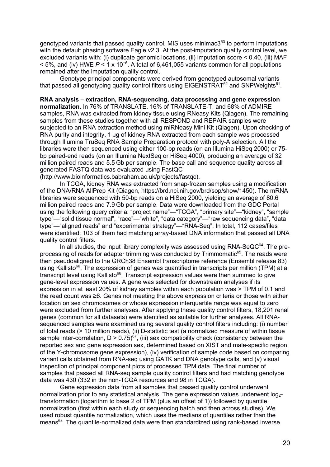genotyped variants that passed quality control. MIS uses minimac $3^{63}$  to perform imputations with the default phasing software Eagle v2.3. At the post-imputation quality control level, we excluded variants with: (i) duplicate genomic locations, (ii) imputation score < 0.40, (iii) MAF < 5%, and (iv) HWE *P* < 1 x 10−6 . A total of 6,461,055 variants common for all populations remained after the imputation quality control.

Genotype principal components were derived from genotyped autosomal variants that passed all genotyping quality control filters using EIGENSTRAT<sup>62</sup> and SNPWeights<sup>61</sup>.

### **RNA analysis – extraction, RNA-sequencing, data processing and gene expression**

**normalization.** In 76% of TRANSLATE, 16% of TRANSLATE-T, and 68% of ADMIRE samples, RNA was extracted from kidney tissue using RNeasy Kits (Qiagen). The remaining samples from these studies together with all RESPOND and REPAIR samples were subjected to an RNA extraction method using miRNeasy Mini Kit (Qiagen). Upon checking of RNA purity and integrity, 1 μg of kidney RNA extracted from each sample was processed through Illumina TruSeq RNA Sample Preparation protocol with poly-A selection. All the libraries were then sequenced using either 100-bp reads (on an Illumina HiSeq 2000) or 75 bp paired-end reads (on an Illumina NextSeq or HiSeq 4000), producing an average of 32 million paired reads and 5.5 Gb per sample. The base call and sequence quality across all generated FASTQ data was evaluated using FastQC

(http://www.bioinformatics.babraham.ac.uk/projects/fastqc).

In TCGA, kidney RNA was extracted from snap-frozen samples using a modification of the DNA/RNA AllPrep Kit (Qiagen, https://brd.nci.nih.gov/brd/sop/show/1450). The mRNA libraries were sequenced with 50-bp reads on a HiSeq 2000, yielding an average of 80.6 million paired reads and 7.9 Gb per sample. Data were downloaded from the GDC Portal using the following query criteria: "project name"—"TCGA", "primary site"—"kidney", "sample type"—"solid tissue normal", "race"—"white", "data category"—"raw sequencing data", "data type"—"aligned reads" and "experimental strategy"—"RNA-Seq". In total, 112 cases/files were identified; 103 of them had matching array-based DNA information that passed all DNA quality control filters.

In all studies, the input library complexity was assessed using  $\text{RNA-SeQC}^{64}$ . The preprocessing of reads for adapter trimming was conducted by Trimmomatic65. The reads were then pseudoaligned to the GRCh38 Ensembl transcriptome reference (Ensembl release 83) using Kallisto<sup>66</sup>. The expression of genes was quantified in transcripts per million (TPM) at a transcript level using Kallisto<sup>66</sup>. Transcript expression values were then summed to give gene-level expression values. A gene was selected for downstream analyses if its expression in at least 20% of kidney samples within each population was > TPM of 0.1 and the read count was ≥6. Genes not meeting the above expression criteria or those with either location on sex chromosomes or whose expression interquartile range was equal to zero were excluded from further analyses. After applying these quality control filters, 18,201 renal genes (common for all datasets) were identified as suitable for further analyses. All RNAsequenced samples were examined using several quality control filters including: (i) number of total reads (> 10 million reads), (ii) D-statistic test (a normalized measure of within tissue sample inter-correlation,  $D > 0.75$ )<sup> $67$ </sup>, (iii) sex compatibility check (consistency between the reported sex and gene expression sex, determined based on XIST and male-specific region of the Y-chromosome gene expression), (iv) verification of sample code based on comparing variant calls obtained from RNA-seq using GATK and DNA genotype calls, and (v) visual inspection of principal component plots of processed TPM data. The final number of samples that passed all RNA-seq sample quality control filters and had matching genotype data was 430 (332 in the non-TCGA resources and 98 in TCGA).

Gene expression data from all samples that passed quality control underwent normalization prior to any statistical analysis. The gene expression values underwent log<sub>2</sub>transformation (logarithm to base 2 of TPM (plus an offset of 1)) followed by quantile normalization (first within each study or sequencing batch and then across studies). We used robust quantile normalization, which uses the medians of quantiles rather than the means<sup>68</sup>. The quantile-normalized data were then standardized using rank-based inverse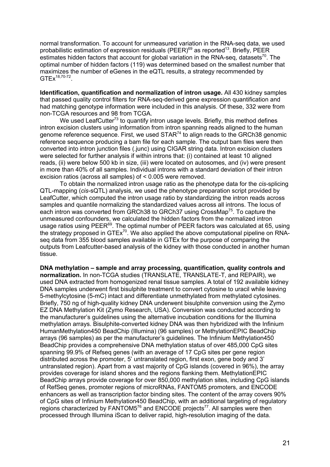normal transformation. To account for unmeasured variation in the RNA-seq data, we used probabilistic estimation of expression residuals (PEER)<sup>69</sup> as reported<sup>13</sup>. Briefly, PEER estimates hidden factors that account for global variation in the RNA-seq, datasets<sup>70</sup>. The optimal number of hidden factors (119) was determined based on the smallest number that maximizes the number of eGenes in the eQTL results, a strategy recommended by GTEx18,70-72.

**Identification, quantification and normalization of intron usage.** All 430 kidney samples that passed quality control filters for RNA-seq-derived gene expression quantification and had matching genotype information were included in this analysis. Of these, 332 were from non-TCGA resources and 98 from TCGA.

We used LeafCutter<sup>73</sup> to quantify intron usage levels. Briefly, this method defines intron excision clusters using information from intron spanning reads aligned to the human genome reference sequence. First, we used  $STAR^{74}$  to align reads to the GRCh38 genomic reference sequence producing a bam file for each sample. The output bam files were then converted into intron junction files (.junc) using CIGAR string data. Intron excision clusters were selected for further analysis if within introns that: (i) contained at least 10 aligned reads, (ii) were below 500 kb in size, (iii) were located on autosomes, and (iv) were present in more than 40% of all samples. Individual introns with a standard deviation of their intron excision ratios (across all samples) of < 0.005 were removed.

To obtain the normalized intron usage ratio as the phenotype data for the *cis-*splicing QTL-mapping (*cis-*sQTL) analysis, we used the phenotype preparation script provided by LeafCutter, which computed the intron usage ratio by standardizing the intron reads across samples and quantile normalizing the standardized values across all introns. The locus of each intron was converted from GRCh38 to GRCh37 using CrossMap<sup>75</sup>. To capture the unmeasured confounders, we calculated the hidden factors from the normalized intron usage ratios using PEER<sup>69</sup>. The optimal number of PEER factors was calculated at 65, using the strategy proposed in  $GTEx^{70}$ . We also applied the above computational pipeline on RNAseq data from 355 blood samples available in GTEx for the purpose of comparing the outputs from Leafcutter-based analysis of the kidney with those conducted in another human tissue.

**DNA methylation – sample and array processing, quantification, quality controls and normalization.** In non-TCGA studies (TRANSLATE, TRANSLATE-T, and REPAIR), we used DNA extracted from homogenized renal tissue samples. A total of 192 available kidney DNA samples underwent first bisulphite treatment to convert cytosine to uracil while leaving 5-methylcytosine (5-mC) intact and differentiate unmethylated from methylated cytosines. Briefly, 750 ng of high-quality kidney DNA underwent bisulphite conversion using the Zymo EZ DNA Methylation Kit (Zymo Research, USA). Conversion was conducted according to the manufacturer's guidelines using the alternative incubation conditions for the Illumina methylation arrays. Bisulphite-converted kidney DNA was then hybridized with the Infinium HumanMethylation450 BeadChip (Illumina) (96 samples) or MethylationEPIC BeadChip arrays (96 samples) as per the manufacturer's guidelines. The Infinium Methylation450 BeadChip provides a comprehensive DNA methylation status of over 485,000 CpG sites spanning 99.9% of Refseq genes (with an average of 17 CpG sites per gene region distributed across the promoter, 5' untranslated region, first exon, gene body and 3' untranslated region). Apart from a vast majority of CpG islands (covered in 96%), the array provides coverage for island shores and the regions flanking them. MethylationEPIC BeadChip arrays provide coverage for over 850,000 methylation sites, including CpG islands of RefSeq genes, promoter regions of microRNAs, FANTOM5 promoters, and ENCODE enhancers as well as transcription factor binding sites. The content of the array covers 90% of CpG sites of Infinium Methylation450 BeadChip, with an additional targeting of regulatory regions characterized by FANTOM5<sup>76</sup> and ENCODE projects<sup>77</sup>. All samples were then processed through Illumina iScan to deliver rapid, high-resolution imaging of the data.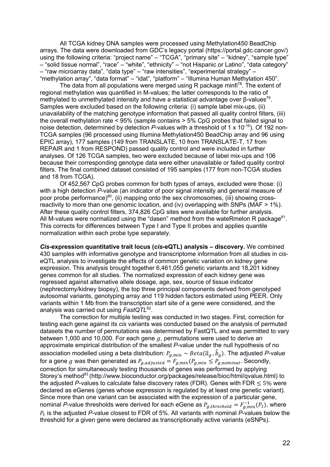All TCGA kidney DNA samples were processed using Methylation450 BeadChip arrays. The data were downloaded from GDC's legacy portal (https://portal.gdc.cancer.gov/) using the following criteria: "project name" – "TCGA", "primary site" – "kidney", "sample type" – "solid tissue normal", "race" – "white", "ethnicity" – "not Hispanic or Latino", "data category" – "raw microarray data", "data type" – "raw intensities", "experimental strategy" – "methylation array", "data format" – "idat", "platform" – "Illumina Human Methylation 450".

The data from all populations were merged using R package minfi<sup>78</sup>. The extent of regional methylation was quantified in M-values; the latter corresponds to the ratio of methylated to unmethylated intensity and have a statistical advantage over β-values<sup>79</sup>. Samples were excluded based on the following criteria: (i) sample label mix-ups, (ii) unavailability of the matching genotype information that passed all quality control filters, (iii) the overall methylation rate < 95% (sample contains > 5% CpG probes that failed signal to noise detection, determined by detection *P*-values with a threshold of 1 x 10-16). Of 192 non-TCGA samples (96 processed using Illumina Methylation450 BeadChip array and 96 using EPIC array), 177 samples (149 from TRANSLATE, 10 from TRANSLATE-T, 17 from REPAIR and 1 from RESPOND) passed quality control and were included in further analyses. Of 126 TCGA samples, two were excluded because of label mix-ups and 106 because their corresponding genotype data were either unavailable or failed quality control filters. The final combined dataset consisted of 195 samples (177 from non-TCGA studies and 18 from TCGA).

Of 452,567 CpG probes common for both types of arrays, excluded were those: (i) with a high detection *P*-value (an indicator of poor signal intensity and general measure of poor probe performance) $80$ , (ii) mapping onto the sex chromosomes, (iii) showing crossreactivity to more than one genomic location, and (iv) overlapping with SNPs (MAF > 1%). After these quality control filters, 374,826 CpG sites were available for further analysis. All M-values were normalized using the "dasen" method from the wateRmelon R package $81$ . This corrects for differences between Type I and Type II probes and applies quantile normalization within each probe type separately.

*Cis-***expression quantitative trait locus (***cis***-eQTL) analysis – discovery.** We combined 430 samples with informative genotype and transcriptome information from all studies in *cis*eQTL analysis to investigate the effects of common genetic variation on kidney gene expression. This analysis brought together 6,461,055 genetic variants and 18,201 kidney genes common for all studies. The normalized expression of each kidney gene was regressed against alternative allele dosage, age, sex, source of tissue indicator (nephrectomy/kidney biopsy), the top three principal components derived from genotyped autosomal variants, genotyping array and 119 hidden factors estimated using PEER. Only variants within 1 Mb from the transcription start site of a gene were considered, and the analysis was carried out using *FastQTL*82.

The correction for multiple testing was conducted in two stages. First, correction for testing each gene against its *cis* variants was conducted based on the analysis of permuted datasets the number of permutations was determined by FastQTL and was permitted to vary between 1,000 and 10,000. For each gene  $q$ , permutations were used to derive an approximate empirical distribution of the smallest *P*-value under the null hypothesis of no association modelled using a beta distribution:  $P_{g,min} \sim Beta(\hat{a}_g, \hat{b}_g)$ . The adjusted *P*-value for a gene g was then generated as  $P_{g,adjasted} = F_{g,min}(P_{g,min} \leq P_{g,nominal}$ . Secondly, correction for simultaneously testing thousands of genes was performed by applying Storey's method<sup>83</sup> (http://www.bioconductor.org/packages/release/bioc/html/qvalue.html) to the adjusted  $P$ -values to calculate false discovery rates (FDR). Genes with FDR  $\leq$  5% were declared as eGenes (genes whose expression is regulated by at least one genetic variant). Since more than one variant can be associated with the expression of a particular gene, nominal *P*-value thresholds were derived for each eGene as  $P_{g,threshold}=F_{g,min}^{-1}(P_t)$ , where  $P_t$  is the adjusted P-value closest to FDR of 5%. All variants with nominal P-values below the threshold for a given gene were declared as transcriptionally active variants (eSNPs).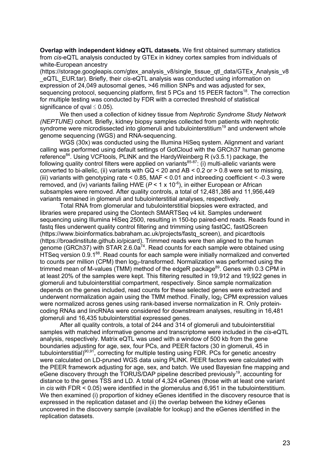**Overlap with independent kidney eQTL datasets.** We first obtained summary statistics from *cis*-eQTL analysis conducted by GTEx in kidney cortex samples from individuals of white-European ancestry

(https://storage.googleapis.com/gtex\_analysis\_v8/single\_tissue\_qtl\_data/GTEx\_Analysis\_v8 eQTL\_EUR.tar). Briefly, their *cis-eQTL* analysis was conducted using information on expression of 24,049 autosomal genes, >46 million SNPs and was adjusted for sex, sequencing protocol, sequencing platform, first 5 PCs and 15 PEER factors<sup>18</sup>. The correction for multiple testing was conducted by FDR with a corrected threshold of statistical significance of gval  $\leq$  0.05).

We then used a collection of kidney tissue from *Nephrotic Syndrome Study Network (NEPTUNE)* cohort. Briefly, kidney biopsy samples collected from patients with nephrotic syndrome were microdissected into glomeruli and tubulointerstitium<sup>19</sup> and underwent whole genome sequencing (WGS) and RNA-sequencing.

WGS (30x) was conducted using the Illumina HiSeq system. Alignment and variant calling was performed using default settings of GotCloud with the GRCh37 human genome reference84. Using VCFtools, PLINK and the HardyWeinberg R (v3.5.1) package, the following quality control filters were applied on variants $85-87$ : (i) multi-allelic variants were converted to bi-allelic, (ii) variants with  $GQ < 20$  and AB  $< 0.2$  or  $> 0.8$  were set to missing, (iii) variants with genotyping rate < 0.85, MAF < 0.01 and inbreeding coefficient < -0.3 were removed, and (iv) variants failing HWE ( $P < 1 \times 10^{-6}$ ), in either European or African subsamples were removed. After quality controls, a total of 12,481,386 and 11,956,449 variants remained in glomeruli and tubulointerstitial analyses, respectively.

Total RNA from glomerular and tubulointerstitial biopsies were extracted, and libraries were prepared using the Clontech SMARTSeq v4 kit. Samples underwent sequencing using Illumina HiSeq 2500, resulting in 150-bp paired-end reads. Reads found in fastq files underwent quality control filtering and trimming using fastQC, fastQScreen (https://www.bioinformatics.babraham.ac.uk/projects/fastq\_screen), and picardtools (https://broadinstitute.github.io/picard). Trimmed reads were then aligned to the human genome (GRCh37) with STAR 2.6.0a<sup>74</sup>. Read counts for each sample were obtained using HTSeg version 0.9.1<sup>88</sup>. Read counts for each sample were initially normalized and converted to counts per million (CPM) then  $log_2$ -transformed. Normalization was performed using the trimmed mean of M-values (TMM) method of the edgeR package<sup>89</sup>. Genes with 0.3 CPM in at least 20% of the samples were kept. This filtering resulted in 19,912 and 19,922 genes in glomeruli and tubulointerstitial compartment, respectively. Since sample normalization depends on the genes included, read counts for these selected genes were extracted and underwent normalization again using the TMM method. Finally, log<sub>2</sub> CPM expression values were normalized across genes using rank-based inverse normalization in R. Only proteincoding RNAs and lincRNAs were considered for downstream analyses, resulting in 16,481 glomeruli and 16,435 tubulointerstitial expressed genes.

After all quality controls, a total of 244 and 314 of glomeruli and tubulointerstitial samples with matched informative genome and transcriptome were included in the *cis*-eQTL analysis, respectively. Matrix eQTL was used with a window of 500 kb from the gene boundaries adjusting for age, sex, four PCs, and PEER factors (30 in glomeruli, 45 in tubulointerstitial)<sup>90,91</sup>, correcting for multiple testing using FDR. PCs for genetic ancestry were calculated on LD-pruned WGS data using PLINK. PEER factors were calculated with the PEER framework adjusting for age, sex, and batch. We used Bayesian fine mapping and eGene discovery through the TORUS/DAP pipeline described previously<sup>19</sup>, accounting for distance to the genes TSS and LD. A total of 4,324 eGenes (those with at least one variant in *cis* with FDR < 0.05) were identified in the glomerulus and 6,951 in the tubulointerstitium. We then examined (i) proportion of kidney eGenes identified in the discovery resource that is expressed in the replication dataset and (ii) the overlap between the kidney eGenes uncovered in the discovery sample (available for lookup) and the eGenes identified in the replication datasets.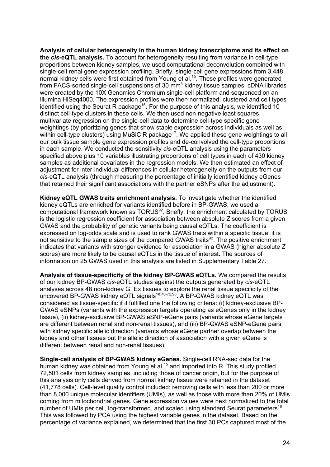**Analysis of cellular heterogeneity in the human kidney transcriptome and its effect on the** *cis***-eQTL analysis.** To account for heterogeneity resulting from variance in cell-type proportions between kidney samples, we used computational deconvolution combined with single-cell renal gene expression profiling. Briefly, single-cell gene expressions from 3,448 normal kidney cells were first obtained from Young et al. 15. These profiles were generated from FACS-sorted single-cell suspensions of 30 mm<sup>3</sup> kidney tissue samples; cDNA libraries were created by the 10X Genomics Chromium single-cell platform and sequenced on an Illumina HiSeq4000. The expression profiles were then normalized, clustered and cell types identified using the Seurat R package<sup>16</sup>. For the purpose of this analysis, we identified 10 distinct cell-type clusters in these cells. We then used non-negative least squares multivariate regression on the single-cell data to determine cell-type specific gene weightings (by prioritizing genes that show stable expression across individuals as well as within cell-type clusters) using MuSiC R package<sup>17</sup>. We applied these gene weightings to all our bulk tissue sample gene expression profiles and de-convolved the cell-type proportions in each sample. We conducted the sensitivity *cis*-eQTL analysis using the parameters specified above plus 10 variables illustrating proportions of cell types in each of 430 kidney samples as additional covariates in the regression models. We then estimated an effect of adjustment for inter-individual differences in cellular heterogeneity on the outputs from our *cis*-eQTL analysis (through measuring the percentage of initially identified kidney eGenes that retained their significant associations with the partner eSNPs after the adjustment).

**Kidney eQTL GWAS traits enrichment analysis.** To investigate whether the identified kidney eQTLs are enriched for variants identified before in BP-GWAS, we used a computational framework known as TORUS<sup>92</sup>. Briefly, the enrichment calculated by TORUS is the logistic regression coefficient for association between absolute *Z* scores from a given GWAS and the probability of genetic variants being causal eQTLs. The coefficient is expressed on log-odds scale and is used to rank GWAS traits within a specific tissue; it is not sensitive to the sample sizes of the compared GWAS traits<sup>92</sup>. The positive enrichment indicates that variants with stronger evidence for association in a GWAS (higher absolute *Z* scores) are more likely to be causal eQTLs in the tissue of interest. The sources of information on 25 GWAS used in this analysis are listed in Supplementary Table 27.

**Analysis of tissue-specificity of the kidney BP-GWAS eQTLs.** We compared the results of our kidney BP-GWAS *cis*-eQTL studies against the outputs generated by *cis*-eQTL analyses across 48 non-kidney GTEx tissues to explore the renal tissue specificity of the uncovered BP-GWAS kidney eQTL signals<sup>18,70-72,93</sup>. A BP-GWAS kidney eQTL was considered as tissue-specific if it fulfilled one the following criteria: (i) kidney-exclusive BP-GWAS eSNPs (variants with the expression targets operating as eGenes only in the kidney tissue), (ii) kidney-exclusive BP-GWAS eSNP-eGene pairs (variants whose eGene targets are different between renal and non-renal tissues), and (iii) BP-GWAS eSNP-eGene pairs with kidney specific allelic direction (variants whose eGene partner overlap between the kidney and other tissues but the allelic direction of association with a given eGene is different between renal and non-renal tissues).

**Single-cell analysis of BP-GWAS kidney eGenes.** Single-cell RNA-seq data for the human kidney was obtained from Young et al.<sup>15</sup> and imported into R. This study profiled 72,501 cells from kidney samples, including those of cancer origin, but for the purpose of this analysis only cells derived from normal kidney tissue were retained in the dataset (41,778 cells). Cell-level quality control included: removing cells with less than 200 or more than 8,000 unique molecular identifiers (UMIs), as well as those with more than 20% of UMIs coming from mitochondrial genes. Gene expression values were next normalized to the total number of UMIs per cell, log-transformed, and scaled using standard Seurat parameters<sup>16</sup>. This was followed by PCA using the highest variable genes in the dataset. Based on the percentage of variance explained, we determined that the first 30 PCs captured most of the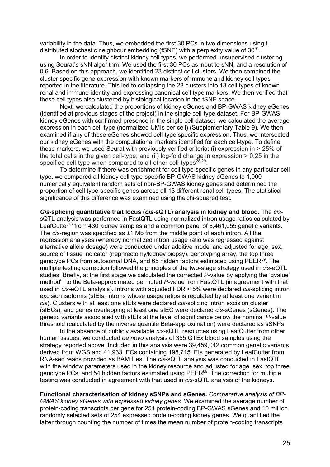variability in the data. Thus, we embedded the first 30 PCs in two dimensions using tdistributed stochastic neighbour embedding (tSNE) with a perplexity value of  $30^{94}$ .

In order to identify distinct kidney cell types, we performed unsupervised clustering using Seurat's sNN algorithm. We used the first 30 PCs as input to sNN, and a resolution of 0.6. Based on this approach, we identified 23 distinct cell clusters. We then combined the cluster specific gene expression with known markers of immune and kidney cell types reported in the literature. This led to collapsing the 23 clusters into 13 cell types of known renal and immune identity and expressing canonical cell type markers. We then verified that these cell types also clustered by histological location in the tSNE space.

Next, we calculated the proportions of kidney eGenes and BP-GWAS kidney eGenes (identified at previous stages of the project) in the single cell-type dataset. For BP-GWAS kidney eGenes with confirmed presence in the single cell dataset, we calculated the average expression in each cell-type (normalized UMIs per cell) (Supplementary Table 9). We then examined if any of these eGenes showed cell-type specific expression. Thus, we intersected our kidney eGenes with the computational markers identified for each cell-type. To define these markers, we used Seurat with previously verified criteria: (i) expression in > 25% of the total cells in the given cell-type; and (ii) log-fold change in expression  $> 0.25$  in the specified cell-type when compared to all other cell-types<sup>28,29</sup>.

To determine if there was enrichment for cell type-specific genes in any particular cell type, we compared all kidney cell type-specific BP-GWAS kidney eGenes to 1,000 numerically equivalent random sets of non-BP-GWAS kidney genes and determined the proportion of cell type-specific genes across all 13 different renal cell types. The statistical significance of this difference was examined using the chi-squared test.

*Cis-***splicing quantitative trait locus (***cis***-sQTL) analysis in kidney and blood.** The *cis*sQTL analysis was performed in FastQTL using normalized intron usage ratios calculated by LeafCutter<sup>73</sup> from 430 kidney samples and a common panel of  $6,461,055$  genetic variants. The *cis*-region was specified as ±1 Mb from the middle point of each intron. All the regression analyses (whereby normalized intron usage ratio was regressed against alternative allele dosage) were conducted under additive model and adjusted for age, sex, source of tissue indicator (nephrectomy/kidney biopsy), genotyping array, the top three genotype PCs from autosomal DNA, and 65 hidden factors estimated using PEER<sup>69</sup>. The multiple testing correction followed the principles of the two-stage strategy used in *cis*-eQTL studies. Briefly, at the first stage we calculated the corrected *P*-value by applying the 'qvalue' method<sup>83</sup> to the Beta-approximated permuted P-value from FastQTL (in agreement with that used in *cis-*eQTL analysis). Introns with adjusted FDR < 5% were declared *cis-*splicing intron excision isoforms (sIEIs, introns whose usage ratios is regulated by at least one variant in *cis*). Clusters with at least one sIEIs were declared *cis-*splicing intron excision cluster (sIECs), and genes overlapping at least one sIEC were declared *cis-*sGenes (sGenes). The genetic variants associated with sIEIs at the level of significance below the nominal *P*-value threshold (calculated by the inverse quantile Beta-approximation) were declared as sSNPs.

In the absence of publicly available *cis*-sQTL resources using LeafCutter from other human tissues, we conducted *de novo* analysis of 355 GTEx blood samples using the strategy reported above. Included in this analysis were 39,459,042 common genetic variants derived from WGS and 41,933 IECs containing 198,715 IEIs generated by LeafCutter from RNA-seq reads provided as BAM files. The *cis*-sQTL analysis was conducted in FastQTL with the window parameters used in the kidney resource and adjusted for age, sex, top three genotype PCs, and 54 hidden factors estimated using PEER<sup>69</sup>. The correction for multiple testing was conducted in agreement with that used in *cis*-sQTL analysis of the kidneys.

**Functional characterisation of kidney sSNPs and sGenes.** *Comparative analysis of BP-GWAS kidney sGenes with expressed kidney genes.* We examined the average number of protein-coding transcripts per gene for 254 protein-coding BP-GWAS sGenes and 10 million randomly selected sets of 254 expressed protein-coding kidney genes. We quantified the latter through counting the number of times the mean number of protein-coding transcripts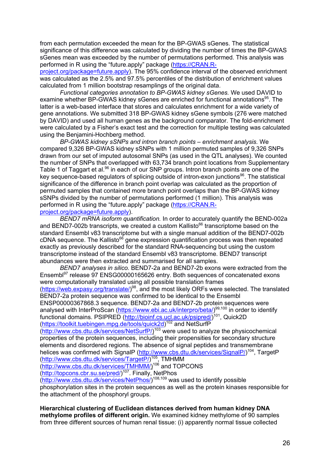from each permutation exceeded the mean for the BP-GWAS sGenes. The statistical significance of this difference was calculated by dividing the number of times the BP-GWAS sGenes mean was exceeded by the number of permutations performed. This analysis was performed in R using the "future.apply" package (https://CRAN.R-

project.org/package=future.apply). The 95% confidence interval of the observed enrichment was calculated as the 2.5% and 97.5% percentiles of the distribution of enrichment values calculated from 1 million bootstrap resamplings of the original data.

*Functional categories annotation to BP-GWAS kidney sGenes.* We used DAVID to examine whether BP-GWAS kidney sGenes are enriched for functional annotations<sup>95</sup>. The latter is a web-based interface that stores and calculates enrichment for a wide variety of gene annotations. We submitted 318 BP-GWAS kidney sGene symbols (276 were matched by DAVID) and used all human genes as the background comparator. The fold-enrichment were calculated by a Fisher's exact test and the correction for multiple testing was calculated using the Benjamini-Hochberg method.

*BP-GWAS kidney sSNPs and intron branch points – enrichment analysis.* We compared 9,326 BP-GWAS kidney sSNPs with 1 million permuted samples of 9,326 SNPs drawn from our set of imputed autosomal SNPs (as used in the QTL analyses). We counted the number of SNPs that overlapped with 63,734 branch point locations from Supplementary Table 1 of Taggart et al.<sup>96</sup> in each of our SNP groups. Intron branch points are one of the key sequence-based regulators of splicing outside of intron-exon junctions<sup>96</sup>. The statistical significance of the difference in branch point overlap was calculated as the proportion of permuted samples that contained more branch point overlaps than the BP-GWAS kidney sSNPs divided by the number of permutations performed (1 million). This analysis was performed in R using the "future.apply" package (https://CRAN.Rproject.org/package=future.apply).

*BEND7 mRNA isoform quantification.* In order to accurately quantify the BEND-002a and BEND7-002b transcripts, we created a custom Kallisto<sup>66</sup> transcriptome based on the standard Ensembl v83 transcriptome but with a single manual addition of the BEND7-002b  $c$ DNA sequence. The Kallisto $66$  gene expression quantification process was then repeated exactly as previously described for the standard RNA-sequencing but using the custom transcriptome instead of the standard Ensembl v83 transcriptome. BEND7 transcript abundances were then extracted and summarised for all samples.

*BEND7 analyses in silico.* BEND7-2a and BEND7-2b exons were extracted from the Ensembl<sup>97</sup> release 97 ENSG00000165626 entry. Both sequences of concatenated exons were computationally translated using all possible translation frames (https://web.expasy.org/translate/)<sup>98</sup>, and the most likely ORFs were selected. The translated BEND7-2a protein sequence was confirmed to be identical to the Ensembl ENSP00000367868.3 sequence. BEND7-2a and BEND7-2b protein sequences were analysed with InterProScan (https://www.ebi.ac.uk/interpro/beta/)<sup>99,100</sup> in order to identify functional domains. PSIPRED (http://bioinf.cs.ucl.ac.uk/psipred/)<sup>101</sup>, Quick2D (https://toolkit.tuebingen.mpg.de/tools/quick2d)<sup>102</sup> and NetSurfP (http://www.cbs.dtu.dk/services/NetSurfP/)<sup>103</sup> were used to analyze the physicochemical properties of the protein sequences, including their propensities for secondary structure elements and disordered regions. The absence of signal peptides and transmembrane

helices was confirmed with SignalP (http://www.cbs.dtu.dk/services/SignalP/)<sup>104</sup>, TargetP (http://www.cbs.dtu.dk/services/TargetP/)<sup>105</sup>, TMHMM

(http://www.cbs.dtu.dk/services/TMHMM/)<sup>106</sup> and TOPCONS

(http://topcons.cbr.su.se/pred/)<sup>107</sup>. Finally, NetPhos

(http://www.cbs.dtu.dk/services/NetPhos/)<sup>108,109</sup> was used to identify possible phosphorylation sites in the protein sequences as well as the protein kinases responsible for the attachment of the phosphoryl groups.

### **Hierarchical clustering of Euclidean distances derived from human kidney DNA methylome profiles of different origin.** We examined kidney methylome of 90 samples from three different sources of human renal tissue: (i) apparently normal tissue collected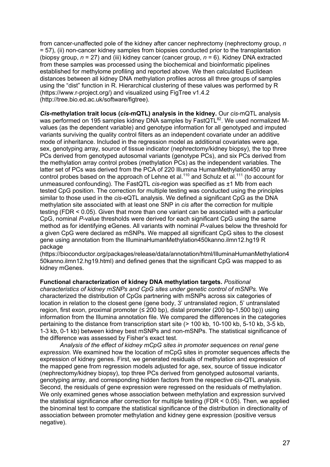from cancer-unaffected pole of the kidney after cancer nephrectomy (nephrectomy group, *n* = 57), (ii) non-cancer kidney samples from biopsies conducted prior to the transplantation (biopsy group, *n* = 27) and (iii) kidney cancer (cancer group, *n* = 6). Kidney DNA extracted from these samples was processed using the biochemical and bioinformatic pipelines established for methylome profiling and reported above. We then calculated Euclidean distances between all kidney DNA methylation profiles across all three groups of samples using the "dist" function in R. Hierarchical clustering of these values was performed by R (https://www.r-project.org/) and visualized using FigTree v1.4.2 (http://tree.bio.ed.ac.uk/software/figtree).

*Cis-***methylation trait locus (***cis***-mQTL) analysis in the kidney.** Our *cis*-mQTL analysis was performed on 195 samples kidney DNA samples by FastQTL<sup>82</sup>. We used normalized Mvalues (as the dependent variable) and genotype information for all genotyped and imputed variants surviving the quality control filters as an independent covariate under an additive mode of inheritance. Included in the regression model as additional covariates were age, sex, genotyping array, source of tissue indicator (nephrectomy/kidney biopsy), the top three PCs derived from genotyped autosomal variants (genotype PCs), and six PCs derived from the methylation array control probes (methylation PCs) as the independent variables. The latter set of PCs was derived from the PCA of 220 Illumina HumanMethylation450 array control probes based on the approach of Lehne et al.<sup>110</sup> and Schulz et al.<sup>111</sup> (to account for unmeasured confounding). The FastQTL *cis*-region was specified as ±1 Mb from each tested CpG position. The correction for multiple testing was conducted using the principles similar to those used in the *cis*-eQTL analysis. We defined a significant CpG as the DNA methylation site associated with at least one SNP in *cis* after the correction for multiple testing (FDR < 0.05). Given that more than one variant can be associated with a particular CpG, nominal *P*-value thresholds were derived for each significant CpG using the same method as for identifying eGenes. All variants with nominal *P*-values below the threshold for a given CpG were declared as mSNPs. We mapped all significant CpG sites to the closest gene using annotation from the IlluminaHumanMethylation450kanno.ilmn12.hg19 R package

(https://bioconductor.org/packages/release/data/annotation/html/IlluminaHumanMethylation4 50kanno.ilmn12.hg19.html) and defined genes that the significant CpG was mapped to as kidney mGenes.

### **Functional characterization of kidney DNA methylation targets.** *Positional*

*characteristics of kidney mSNPs and CpG sites under genetic control of mSNPs.* We characterized the distribution of CpGs partnering with mSNPs across six categories of location in relation to the closest gene (gene body, 3' untranslated region, 5' untranslated region, first exon, proximal promoter (≤ 200 bp), distal promoter (200 bp-1,500 bp)) using information from the Illumina annotation file. We compared the differences in the categories pertaining to the distance from transcription start site (> 100 kb, 10-100 kb, 5-10 kb, 3-5 kb, 1-3 kb, 0-1 kb) between kidney best mSNPs and non-mSNPs. The statistical significance of the difference was assessed by Fisher's exact test.

*Analysis of the effect of kidney mCpG sites in promoter sequences on renal gene expression.* We examined how the location of mCpG sites in promoter sequences affects the expression of kidney genes. First, we generated residuals of methylation and expression of the mapped gene from regression models adjusted for age, sex, source of tissue indicator (nephrectomy/kidney biopsy), top three PCs derived from genotyped autosomal variants, genotyping array, and corresponding hidden factors from the respective *cis*-QTL analysis. Second, the residuals of gene expression were regressed on the residuals of methylation. We only examined genes whose association between methylation and expression survived the statistical significance after correction for multiple testing (FDR < 0.05). Then, we applied the binominal test to compare the statistical significance of the distribution in directionality of association between promoter methylation and kidney gene expression (positive versus negative).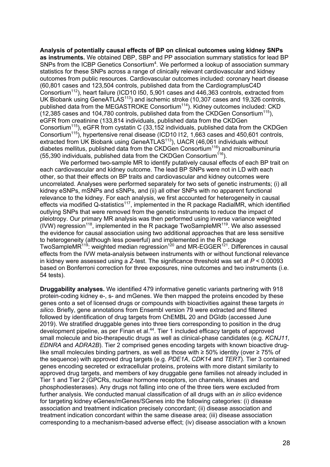**Analysis of potentially causal effects of BP on clinical outcomes using kidney SNPs as instruments.** We obtained DBP, SBP and PP association summary statistics for lead BP SNPs from the ICBP Genetics Consortium<sup>4</sup>. We performed a lookup of association summary statistics for these SNPs across a range of clinically relevant cardiovascular and kidney outcomes from public resources. Cardiovascular outcomes included: coronary heart disease (60,801 cases and 123,504 controls, published data from the CardiogramplusC4D Consortium112), heart failure (ICD10 I50, 5,901 cases and 446,363 controls, extracted from UK Biobank using GeneATLAS<sup>113</sup>) and ischemic stroke (10,307 cases and 19,326 controls, published data from the MEGASTROKE Consortium<sup>114</sup>). Kidney outcomes included: CKD  $(12.385 \text{ cases and } 104.780 \text{ controls, published data from the CKDGen Consortium<sup>115</sup>).$ eGFR from creatinine (133,814 individuals, published data from the CKDGen Consortium115), eGFR from cystatin C (33,152 individuals, published data from the CKDGen Consortium115), hypertensive renal disease (ICD10 I12, 1,663 cases and 450,601 controls, extracted from UK Biobank using GeneATLAS<sup>113</sup>), UACR (46,061 individuals without diabetes mellitus, published data from the CKDGen Consortium<sup>116</sup>) and microalbuminuria (55,390 individuals, published data from the CKDGen Consortium<sup>116</sup>).

We performed two-sample MR to identify putatively causal effects of each BP trait on each cardiovascular and kidney outcome. The lead BP SNPs were not in LD with each other, so that their effects on BP traits and cardiovascular and kidney outcomes were uncorrelated. Analyses were performed separately for two sets of genetic instruments; (i) all kidney eSNPs, mSNPs and sSNPs, and (ii) all other SNPs with no apparent functional relevance to the kidney. For each analysis, we first accounted for heterogeneity in causal effects via modified Q-statistics<sup>117</sup>, implemented in the R package RadialMR, which identified outlying SNPs that were removed from the genetic instruments to reduce the impact of pleiotropy. Our primary MR analysis was then performed using inverse variance weighted (IVW) regression<sup>118</sup>, implemented in the R package TwoSampleMR<sup>119</sup>. We also assessed the evidence for causal association using two additional approaches that are less sensitive to heterogeneity (although less powerful) and implemented in the R package TwoSampleMR<sup>119</sup>: weighted median regression<sup>120</sup> and MR-EGGER<sup>121</sup>. Differences in causal effects from the IVW meta-analysis between instruments with or without functional relevance in kidney were assessed using a *Z*-test. The significance threshold was set at *P* < 0.00093 based on Bonferroni correction for three exposures, nine outcomes and two instruments (i.e. 54 tests).

**Druggability analyses.** We identified 479 informative genetic variants partnering with 918 protein-coding kidney e-, s- and mGenes. We then mapped the proteins encoded by these genes onto a set of licensed drugs or compounds with bioactivities against these targets *in silico*. Briefly, gene annotations from Ensembl version 79 were extracted and filtered followed by identification of drug targets from ChEMBL 20 and DGIdb (accessed June 2019). We stratified druggable genes into three tiers corresponding to position in the drug development pipeline, as per Finan et al.<sup>44</sup>. Tier 1 included efficacy targets of approved small molecule and bio-therapeutic drugs as well as clinical-phase candidates (e.g. *KCNJ11*, *EDNRA* and *ADRA2B*). Tier 2 comprised genes encoding targets with known bioactive druglike small molecules binding partners, as well as those with ≥ 50% identity (over ≥ 75% of the sequence) with approved drug targets (e.g. *PDE1A*, *CDK14* and *TERT*). Tier 3 contained genes encoding secreted or extracellular proteins, proteins with more distant similarity to approved drug targets, and members of key druggable gene families not already included in Tier 1 and Tier 2 (GPCRs, nuclear hormone receptors, ion channels, kinases and phosphodiesterases). Any drugs not falling into one of the three tiers were excluded from further analysis. We conducted manual classification of all drugs with an *in silico* evidence for targeting kidney eGenes/mGenes/SGenes into the following categories: (i) disease association and treatment indication precisely concordant; (ii) disease association and treatment indication concordant within the same disease area; (iii) disease association corresponding to a mechanism-based adverse effect; (iv) disease association with a known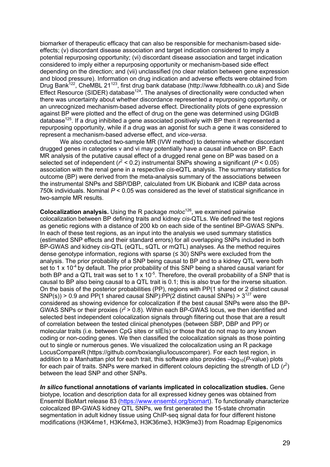biomarker of therapeutic efficacy that can also be responsible for mechanism-based sideeffects; (v) discordant disease association and target indication considered to imply a potential repurposing opportunity; (vi) discordant disease association and target indication considered to imply either a repurposing opportunity or mechanism-based side effect depending on the direction; and (vii) unclassified (no clear relation between gene expression and blood pressure). Information on drug indication and adverse effects were obtained from Drug Bank<sup>122</sup>, CheMBL 21<sup>123</sup>, first drug bank database (http://www.fdbhealth.co.uk) and Side Effect Resource (SIDER) database<sup>124</sup>. The analyses of directionality were conducted when there was uncertainty about whether discordance represented a repurposing opportunity, or an unrecognized mechanism-based adverse effect. Directionality plots of gene expression against BP were plotted and the effect of drug on the gene was determined using DGIdB database<sup>125</sup>. If a drug inhibited a gene associated positively with BP then it represented a repurposing opportunity, while if a drug was an agonist for such a gene it was considered to represent a mechanism-based adverse effect, and *vice-versa*.

We also conducted two-sample MR (IVW method) to determine whether discordant drugged genes in categories v and vi may potentially have a causal influence on BP. Each MR analysis of the putative causal effect of a drugged renal gene on BP was based on a selected set of independent (*r* <sup>2</sup> < 0.2) instrumental SNPs showing a significant (*P* < 0.05) association with the renal gene in a respective *cis*-eQTL analysis. The summary statistics for outcome (BP) were derived from the meta-analysis summary of the associations between the instrumental SNPs and SBP/DBP, calculated from UK Biobank and ICBP data across 750k individuals. Nominal *P* < 0.05 was considered as the level of statistical significance in two-sample MR results.

**Colocalization analysis.** Using the R package *moloc*126, we examined pairwise colocalization between BP defining traits and kidney *cis*-QTLs. We defined the test regions as genetic regions with a distance of 200 kb on each side of the sentinel BP-GWAS SNPs. In each of these test regions, as an input into the analysis we used summary statistics (estimated SNP effects and their standard errors) for all overlapping SNPs included in both BP-GWAS and kidney *cis*-QTL (eQTL, sQTL or mQTL) analyses. As the method requires dense genotype information, regions with sparse  $(\leq 30)$  SNPs were excluded from the analysis. The prior probability of a SNP being causal to BP and to a kidney QTL were both set to 1 x  $10^{-4}$  by default. The prior probability of this SNP being a shared causal variant for both BP and a QTL trait was set to 1 x 10<sup>-5</sup>. Therefore, the overall probability of a SNP that is causal to BP also being causal to a QTL trait is 0.1; this is also true for the inverse situation. On the basis of the posterior probabilities (PP), regions with PP(1 shared or 2 distinct causal  $SNP(s)$ ) > 0.9 and PP(1 shared causal SNP):PP(2 distinct causal SNPs) >  $3^{127}$  were considered as showing evidence for colocalization if the best causal SNPs were also the BP-GWAS SNPs or their proxies ( $r^2$  > 0.8). Within each BP-GWAS locus, we then identified and selected best independent colocalization signals through filtering out those that are a result of correlation between the tested clinical phenotypes (between SBP, DBP and PP) or molecular traits (i.e. between CpG sites or sIEIs) or those that do not map to any known coding or non-coding genes. We then classified the colocalization signals as those pointing out to single or numerous genes. We visualized the colocalization using an R package LocusCompareR (https://github.com/boxiangliu/locuscomparer). For each test region, in addition to a Manhattan plot for each trait, this software also provides  $-\log_{10}(P\text{-value})$  plots for each pair of traits. SNPs were marked in different colours depicting the strength of LD  $(r^2)$ between the lead SNP and other SNPs.

*In silico* **functional annotations of variants implicated in colocalization studies.** Gene biotype, location and description data for all expressed kidney genes was obtained from Ensembl BioMart release 83 (https://www.ensembl.org/biomart). To functionally characterize colocalized BP-GWAS kidney QTL SNPs, we first generated the 15-state chromatin segmentation in adult kidney tissue using ChIP-seq signal data for four different histone modifications (H3K4me1, H3K4me3, H3K36me3, H3K9me3) from Roadmap Epigenomics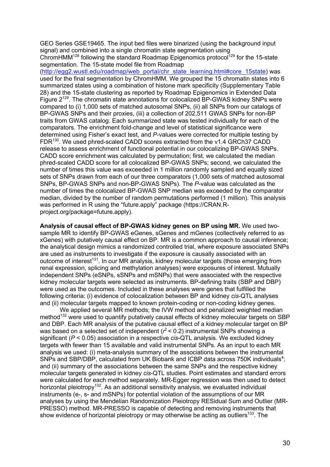GEO Series GSE19465. The input bed files were binarized (using the background input signal) and combined into a single chromatin state segmentation using

 $ChromHMM<sup>128</sup>$  following the standard Roadmap Epigenomics protocol<sup>129</sup> for the 15-state segmentation. The 15-state model file from Roadmap

(http://egg2.wustl.edu/roadmap/web\_portal/chr\_state\_learning.html#core\_15state) was used for the final segmentation by ChromHMM. We grouped the 15 chromatin states into 6 summarized states using a combination of histone mark specificity (Supplementary Table 28) and the 15-state clustering as reported by Roadmap Epigenomics in Extended Data Figure 2129. The chromatin state annotations for colocalized BP-GWAS kidney SNPs were compared to (i) 1,000 sets of matched autosomal SNPs, (ii) all SNPs from our catalogs of BP-GWAS SNPs and their proxies, (iii) a collection of 202,511 GWAS SNPs for non-BP traits from GWAS catalog. Each summarized state was tested individually for each of the comparators. The enrichment fold-change and level of statistical significance were determined using Fisher's exact test, and *P*-values were corrected for multiple testing by FDR130. We used phred-scaled CADD scores extracted from the v1.4 GRCh37 CADD release to assess enrichment of functional potential in our colocalizing BP-GWAS SNPs. CADD score enrichment was calculated by permutation; first, we calculated the median phred-scaled CADD score for all colocalized BP-GWAS SNPs; second, we calculated the number of times this value was exceeded in 1 million randomly sampled and equally sized sets of SNPs drawn from each of our three comparators (1,000 sets of matched autosomal SNPs, BP-GWAS SNPs and non-BP-GWAS SNPs). The *P*-value was calculated as the number of times the colocalized BP-GWAS SNP median was exceeded by the comparator median, divided by the number of random permutations performed (1 million). This analysis was performed in R using the "future.apply" package (https://CRAN.Rproject.org/package=future.apply).

**Analysis of causal effect of BP-GWAS kidney genes on BP using MR.** We used twosample MR to identify BP-GWAS eGenes, sGenes and mGenes (collectively referred to as xGenes) with putatively causal effect on BP. MR is a common approach to causal inference; the analytical design mimics a randomized controlled trial, where exposure associated SNPs are used as instruments to investigate if the exposure is causally associated with an outcome of interest<sup>131</sup>. In our MR analysis, kidney molecular targets (those emerging from renal expression, splicing and methylation analyses) were exposures of interest. Mutually independent SNPs (eSNPs, sSNPs and mSNPs) that were associated with the respective kidney molecular targets were selected as instruments. BP-defining traits (SBP and DBP) were used as the outcomes. Included in these analyses were genes that fulfilled the following criteria: (i) evidence of colocalization between BP and kidney *cis*-QTL analyses and (ii) molecular targets mapped to known protein-coding or non-coding kidney genes.

We applied several MR methods; the IVW method and penalized weighted median method<sup>132</sup> were used to quantify putatively causal effects of kidney molecular targets on SBP and DBP. Each MR analysis of the putative causal effect of a kidney molecular target on BP was based on a selected set of independent ( $r^2$  < 0.2) instrumental SNPs showing a significant (*P* < 0.05) association in a respective *cis*-QTL analysis. We excluded kidney targets with fewer than 15 available and valid instrumental SNPs. As an input to each MR analysis we used: (i) meta-analysis summary of the associations between the instrumental SNPs and SBP/DBP, calculated from UK Biobank and ICBP data across 750K individuals<sup>4</sup>; and (ii) summary of the associations between the same SNPs and the respective kidney molecular targets generated in kidney *cis*-QTL studies. Point estimates and standard errors were calculated for each method separately. MR-Egger regression was then used to detect horizontal pleiotropy<sup>132</sup>. As an additional sensitivity analysis, we evaluated individual instruments (e-, s- and mSNPs) for potential violation of the assumptions of our MR analyses by using the Mendelian Randomization Pleiotropy RESidual Sum and Outlier (MR-PRESSO) method. MR-PRESSO is capable of detecting and removing instruments that show evidence of horizontal pleiotropy or may otherwise be acting as outliers<sup>133</sup>. The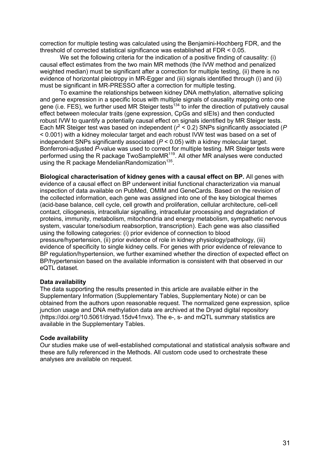correction for multiple testing was calculated using the Benjamini-Hochberg FDR, and the threshold of corrected statistical significance was established at FDR < 0.05.

We set the following criteria for the indication of a positive finding of causality: (i) causal effect estimates from the two main MR methods (the IVW method and penalized weighted median) must be significant after a correction for multiple testing. (ii) there is no evidence of horizontal pleiotropy in MR-Egger and (iii) signals identified through (i) and (ii) must be significant in MR-PRESSO after a correction for multiple testing.

To examine the relationships between kidney DNA methylation, alternative splicing and gene expression in a specific locus with multiple signals of causality mapping onto one gene (i.e. FES), we further used MR Steiger tests<sup>134</sup> to infer the direction of putatively causal effect between molecular traits (gene expression, CpGs and sIEIs) and then conducted robust IVW to quantify a potentially causal effect on signals identified by MR Steiger tests. Each MR Steiger test was based on independent (*r* <sup>2</sup> < 0.2) SNPs significantly associated (*P* < 0.001) with a kidney molecular target and each robust IVW test was based on a set of independent SNPs significantly associated (*P* < 0.05) with a kidney molecular target. Bonferroni-adjusted *P*-value was used to correct for multiple testing. MR Steiger tests were performed using the R package TwoSampleMR<sup>119</sup>. All other MR analyses were conducted using the R package MendelianRandomization<sup>135</sup>.

**Biological characterisation of kidney genes with a causal effect on BP.** All genes with evidence of a causal effect on BP underwent initial functional characterization via manual inspection of data available on PubMed, OMIM and GeneCards. Based on the revision of the collected information, each gene was assigned into one of the key biological themes (acid-base balance, cell cycle, cell growth and proliferation, cellular architecture, cell-cell contact, ciliogenesis, intracellular signalling, intracellular processing and degradation of proteins, immunity, metabolism, mitochondria and energy metabolism, sympathetic nervous system, vascular tone/sodium reabsorption, transcription). Each gene was also classified using the following categories: (i) prior evidence of connection to blood pressure/hypertension, (ii) prior evidence of role in kidney physiology/pathology, (iii) evidence of specificity to single kidney cells. For genes with prior evidence of relevance to BP regulation/hypertension, we further examined whether the direction of expected effect on BP/hypertension based on the available information is consistent with that observed in our eQTL dataset.

### **Data availability**

The data supporting the results presented in this article are available either in the Supplementary Information (Supplementary Tables, Supplementary Note) or can be obtained from the authors upon reasonable request. The normalized gene expression, splice junction usage and DNA methylation data are archived at the Dryad digital repository (https://doi.org/10.5061/dryad.15dv41nvx). The e-, s- and mQTL summary statistics are available in the Supplementary Tables.

#### **Code availability**

Our studies make use of well-established computational and statistical analysis software and these are fully referenced in the Methods. All custom code used to orchestrate these analyses are available on request.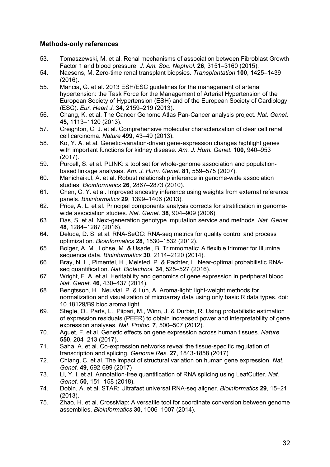# **Methods-only references**

- 53. Tomaszewski, M. et al. Renal mechanisms of association between Fibroblast Growth Factor 1 and blood pressure. *J. Am. Soc. Nephrol.* **26**, 3151–3160 (2015).
- 54. Naesens, M. Zero-time renal transplant biopsies. *Transplantation* **100**, 1425–1439 (2016).
- 55. Mancia, G. et al. 2013 ESH/ESC guidelines for the management of arterial hypertension: the Task Force for the Management of Arterial Hypertension of the European Society of Hypertension (ESH) and of the European Society of Cardiology (ESC). *Eur. Heart J.* **34**, 2159–219 (2013).
- 56. Chang, K. et al. The Cancer Genome Atlas Pan-Cancer analysis project. *Nat. Genet.* **45**, 1113–1120 (2013).
- 57. Creighton, C. J. et al. Comprehensive molecular characterization of clear cell renal cell carcinoma. *Nature* **499**, 43–49 (2013).
- 58. Ko, Y. A. et al. Genetic-variation-driven gene-expression changes highlight genes with important functions for kidney disease. *Am. J. Hum. Genet.* **100**, 940–953  $(2017)$
- 59. Purcell, S. et al. PLINK: a tool set for whole-genome association and populationbased linkage analyses. *Am. J. Hum. Genet.* **81**, 559–575 (2007).
- 60. Manichaikul, A. et al. Robust relationship inference in genome-wide association studies. *Bioinformatics* **26**, 2867–2873 (2010).
- 61. Chen, C. Y. et al. Improved ancestry inference using weights from external reference panels. *Bioinformatics* **29**, 1399–1406 (2013).
- 62. Price, A. L. et al. Principal components analysis corrects for stratification in genomewide association studies. *Nat. Genet.* **38**, 904–909 (2006).
- 63. Das, S. et al. Next-generation genotype imputation service and methods. *Nat. Genet.* **48**, 1284–1287 (2016).
- 64. Deluca, D. S. et al. RNA-SeQC: RNA-seq metrics for quality control and process optimization. *Bioinformatics* **28**, 1530–1532 (2012).
- 65. Bolger, A. M., Lohse, M. & Usadel, B. Trimmomatic: A flexible trimmer for Illumina sequence data. *Bioinformatics* **30**, 2114–2120 (2014).
- 66. Bray, N. L., Pimentel, H., Melsted, P. & Pachter, L. Near-optimal probabilistic RNAseq quantification. *Nat. Biotechnol.* **34**, 525–527 (2016).
- 67. Wright, F. A. et al. Heritability and genomics of gene expression in peripheral blood. *Nat. Genet.* **46**, 430–437 (2014).
- 68. Bengtsson, H., Neuvial, P. & Lun, A. Aroma-light: light-weight methods for normalization and visualization of microarray data using only basic R data types. doi: 10.18129/B9.bioc.aroma.light
- 69. Stegle, O., Parts, L., Piipari, M., Winn, J. & Durbin, R. Using probabilistic estimation of expression residuals (PEER) to obtain increased power and interpretability of gene expression analyses. *Nat. Protoc.* **7**, 500–507 (2012).
- 70. Aguet, F. et al. Genetic effects on gene expression across human tissues. *Nature* **550**, 204–213 (2017).
- 71. Saha, A. et al. Co-expression networks reveal the tissue-specific regulation of transcription and splicing. *Genome Res.* **27**, 1843-1858 (2017)
- 72. Chiang, C. et al. The impact of structural variation on human gene expression. *Nat. Genet.* **49**, 692-699 (2017)
- 73. Li, Y. I. et al. Annotation-free quantification of RNA splicing using LeafCutter. *Nat. Genet.* **50**, 151–158 (2018).
- 74. Dobin, A. et al. STAR: Ultrafast universal RNA-seq aligner. *Bioinformatics* **29**, 15–21 (2013).
- 75. Zhao, H. et al. CrossMap: A versatile tool for coordinate conversion between genome assemblies. *Bioinformatics* **30**, 1006–1007 (2014).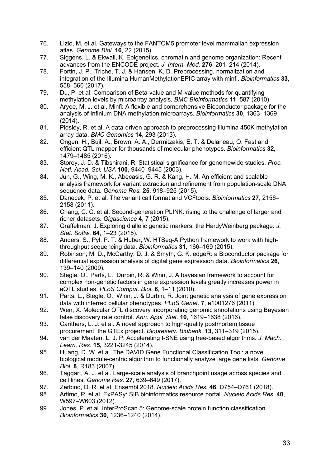- 76. Lizio, M. et al. Gateways to the FANTOM5 promoter level mammalian expression atlas. *Genome Biol.* **16**, 22 (2015).
- 77. Siggens, L. & Ekwall, K. Epigenetics, chromatin and genome organization: Recent advances from the ENCODE project. *J. Intern. Med.* **276**, 201–214 (2014).
- 78. Fortin, J. P., Triche, T. J. & Hansen, K. D. Preprocessing, normalization and integration of the Illumina HumanMethylationEPIC array with minfi. *Bioinformatics* **33**, 558–560 (2017).
- 79. Du, P. et al. Comparison of Beta-value and M-value methods for quantifying methylation levels by microarray analysis. *BMC Bioinformatics* **11**, 587 (2010).
- 80. Aryee, M. J. et al. Minfi: A flexible and comprehensive Bioconductor package for the analysis of Infinium DNA methylation microarrays. *Bioinformatics* **30**, 1363–1369 (2014).
- 81. Pidsley, R. et al. A data-driven approach to preprocessing Illumina 450K methylation array data. *BMC Genomics* **14**, 293 (2013).
- 82. Ongen, H., Buil, A., Brown, A. A., Dermitzakis, E. T. & Delaneau, O. Fast and efficient QTL mapper for thousands of molecular phenotypes. *Bioinformatics* **32**, 1479–1485 (2016).
- 83. Storey, J. D. & Tibshirani, R. Statistical significance for genomewide studies. *Proc. Natl. Acad. Sci. USA* **100**, 9440–9445 (2003).
- 84. Jun, G., Wing, M. K., Abecasis, G. R. & Kang, H. M. An efficient and scalable analysis framework for variant extraction and refinement from population-scale DNA sequence data. *Genome Res.* **25**, 918–925 (2015).
- 85. Danecek, P. et al. The variant call format and VCFtools. *Bioinformatics* **27**, 2156– 2158 (2011).
- 86. Chang, C. C. et al. Second-generation PLINK: rising to the challenge of larger and richer datasets. *Gigascience* **4**, 7 (2015).
- 87. Graffelman, J. Exploring diallelic genetic markers: the HardyWeinberg package. *J. Stat. Softw.* **64**, 1–23 (2015).
- 88. Anders, S., Pyl, P. T. & Huber, W. HTSeq-A Python framework to work with highthroughput sequencing data. *Bioinformatics* **31**, 166–169 (2015).
- 89. Robinson, M. D., McCarthy, D. J. & Smyth, G. K. edgeR: a Bioconductor package for differential expression analysis of digital gene expression data. *Bioinformatics* **26**, 139–140 (2009).
- 90. Stegle, O., Parts, L., Durbin, R. & Winn, J. A bayesian framework to account for complex non-genetic factors in gene expression levels greatly increases power in eQTL studies. *PLoS Comput. Biol.* **6**, 1–11 (2010).
- 91. Parts, L., Stegle, O., Winn, J. & Durbin, R. Joint genetic analysis of gene expression data with inferred cellular phenotypes. *PLoS Genet.* **7**, e1001276 (2011).
- 92. Wen, X. Molecular QTL discovery incorporating genomic annotations using Bayesian false discovery rate control. *Ann. Appl. Stat.* **10**, 1619–1638 (2016).
- 93. Carithers, L. J. et al. A novel approach to high-quality postmortem tissue procurement: the GTEx project. *Biopreserv. Biobank.* **13**, 311–319 (2015).
- 94. van der Maaten, L. J. P. Accelerating t-SNE using tree-based algorithms. *J. Mach. Learn. Res.* **15,** 3221-3245 (2014).
- 95. Huang, D. W. et al. The DAVID Gene Functional Classification Tool: a novel biological module-centric algorithm to functionally analyze large gene lists. *Genome Biol.* **8**, R183 (2007).
- 96. Taggart, A. J. et al. Large-scale analysis of branchpoint usage across species and cell lines. *Genome Res.* **27**, 639–649 (2017).
- 97. Zerbino, D. R. et al. Ensembl 2018. *Nucleic Acids Res.* **46**, D754–D761 (2018).
- 98. Artimo, P. et al. ExPASy: SIB bioinformatics resource portal. *Nucleic Acids Res.* **40**, W597–W603 (2012).
- 99. Jones, P. et al. InterProScan 5: Genome-scale protein function classification. *Bioinformatics* **30**, 1236–1240 (2014).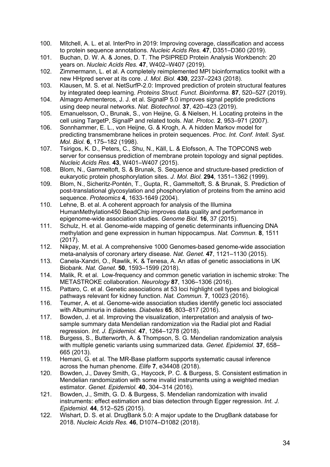- 100. Mitchell, A. L. et al. InterPro in 2019: Improving coverage, classification and access to protein sequence annotations. *Nucleic Acids Res.* **47**, D351–D360 (2019).
- 101. Buchan, D. W. A. & Jones, D. T. The PSIPRED Protein Analysis Workbench: 20 years on. *Nucleic Acids Res.* **47**, W402–W407 (2019).
- 102. Zimmermann, L. et al. A completely reimplemented MPI bioinformatics toolkit with a new HHpred server at its core. *J. Mol. Biol.* **430**, 2237–2243 (2018).
- 103. Klausen, M. S. et al. NetSurfP-2.0: Improved prediction of protein structural features by integrated deep learning. *Proteins Struct. Funct. Bioinforma.* **87**, 520–527 (2019).
- 104. Almagro Armenteros, J. J. et al. SignalP 5.0 improves signal peptide predictions using deep neural networks. *Nat. Biotechnol.* **37**, 420–423 (2019).
- 105. Emanuelsson, O., Brunak, S., von Heijne, G. & Nielsen, H. Locating proteins in the cell using TargetP, SignalP and related tools. *Nat. Protoc.* **2**, 953–971 (2007).
- 106. Sonnhammer, E. L., von Heijne, G. & Krogh, A. A hidden Markov model for predicting transmembrane helices in protein sequences. *Proc. Int. Conf. Intell. Syst. Mol. Biol.* **6**, 175–182 (1998).
- 107. Tsirigos, K. D., Peters, C., Shu, N., Käll, L. & Elofsson, A. The TOPCONS web server for consensus prediction of membrane protein topology and signal peptides. *Nucleic Acids Res.* **43**, W401–W407 (2015).
- 108. Blom, N., Gammeltoft, S. & Brunak, S. Sequence and structure-based prediction of eukaryotic protein phosphorylation sites. *J. Mol. Biol.* **294**, 1351–1362 (1999).
- 109. Blom, N., Sicheritz-Pontén, T., Gupta, R., Gammeltoft, S. & Brunak, S. Prediction of post-translational glycosylation and phosphorylation of proteins from the amino acid sequence. *Proteomics* **4**, 1633-1649 (2004).
- 110. Lehne, B. et al. A coherent approach for analysis of the Illumina HumanMethylation450 BeadChip improves data quality and performance in epigenome-wide association studies. *Genome Biol.* **16**, 37 (2015).
- 111. Schulz, H. et al. Genome-wide mapping of genetic determinants influencing DNA methylation and gene expression in human hippocampus. *Nat. Commun.* **8**, 1511 (2017).
- 112. Nikpay, M. et al. A comprehensive 1000 Genomes-based genome-wide association meta-analysis of coronary artery disease. *Nat. Genet.* **47**, 1121–1130 (2015).
- 113. Canela-Xandri, O., Rawlik, K. & Tenesa, A. An atlas of genetic associations in UK Biobank. *Nat. Genet.* **50**, 1593–1599 (2018).
- 114. Malik, R. et al. Low-frequency and common genetic variation in ischemic stroke: The METASTROKE collaboration. *Neurology* **87**, 1306–1306 (2016).
- 115. Pattaro, C. et al. Genetic associations at 53 loci highlight cell types and biological pathways relevant for kidney function. *Nat. Commun.* **7**, 10023 (2016).
- 116. Teumer, A. et al. Genome-wide association studies identify genetic loci associated with Albuminuria in diabetes. *Diabetes* **65**, 803–817 (2016).
- 117. Bowden, J. et al. Improving the visualization, interpretation and analysis of twosample summary data Mendelian randomization via the Radial plot and Radial regression. *Int. J. Epidemiol.* **47**, 1264–1278 (2018).
- 118. Burgess, S., Butterworth, A. & Thompson, S. G. Mendelian randomization analysis with multiple genetic variants using summarized data. *Genet. Epidemiol.* **37**, 658– 665 (2013).
- 119. Hemani, G. et al. The MR-Base platform supports systematic causal inference across the human phenome. *Elife* **7**, e34408 (2018).
- 120. Bowden, J., Davey Smith, G., Haycock, P. C. & Burgess, S. Consistent estimation in Mendelian randomization with some invalid instruments using a weighted median estimator. *Genet. Epidemiol.* **40**, 304–314 (2016).
- 121. Bowden, J., Smith, G. D. & Burgess, S. Mendelian randomization with invalid instruments: effect estimation and bias detection through Egger regression. *Int. J. Epidemiol.* **44**, 512–525 (2015).
- 122. Wishart, D. S. et al. DrugBank 5.0: A major update to the DrugBank database for 2018. *Nucleic Acids Res.* **46**, D1074–D1082 (2018).